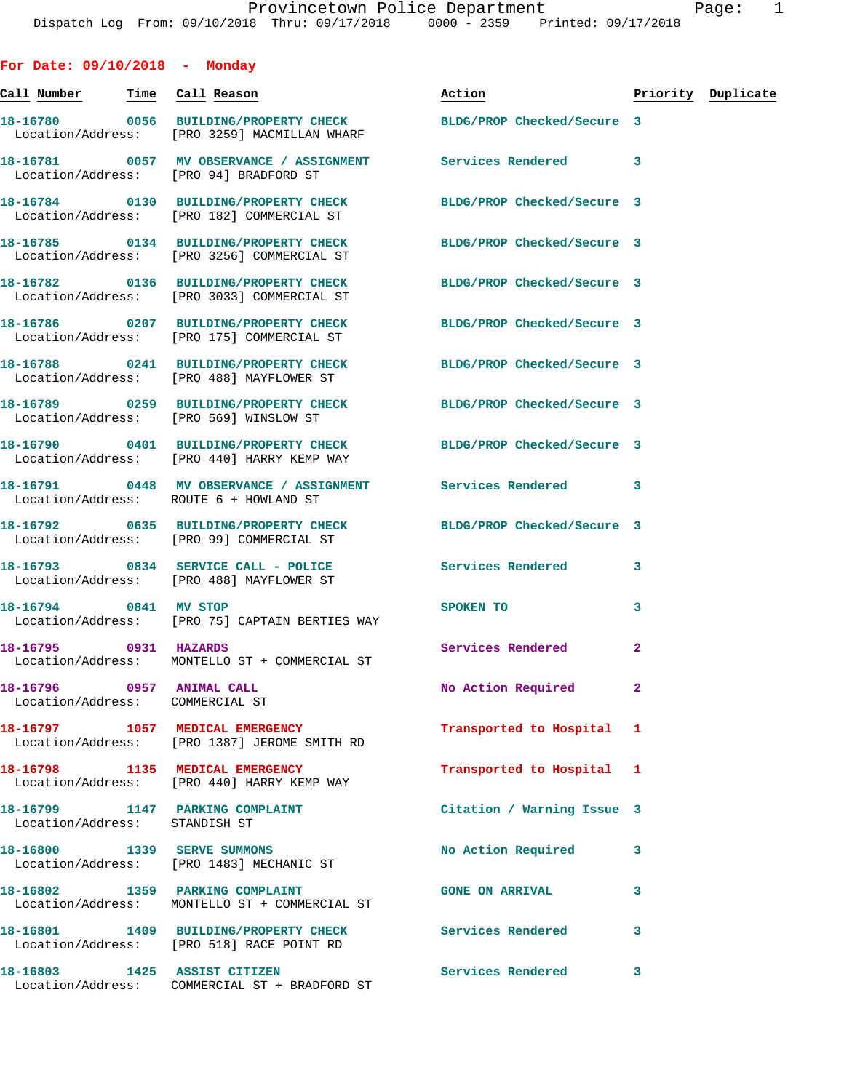| For Date: $09/10/2018$ - Monday                              |                                                                                                                |                                                                                                                                                                                                                                |                |                    |
|--------------------------------------------------------------|----------------------------------------------------------------------------------------------------------------|--------------------------------------------------------------------------------------------------------------------------------------------------------------------------------------------------------------------------------|----------------|--------------------|
|                                                              |                                                                                                                | Action and the set of the set of the set of the set of the set of the set of the set of the set of the set of the set of the set of the set of the set of the set of the set of the set of the set of the set of the set of th |                | Priority Duplicate |
|                                                              | 18-16780 0056 BUILDING/PROPERTY CHECK<br>Location/Address: [PRO 3259] MACMILLAN WHARF                          | BLDG/PROP Checked/Secure 3                                                                                                                                                                                                     |                |                    |
| Location/Address: [PRO 94] BRADFORD ST                       | 18-16781 0057 MV OBSERVANCE / ASSIGNMENT Services Rendered                                                     |                                                                                                                                                                                                                                | 3              |                    |
|                                                              | 18-16784 0130 BUILDING/PROPERTY CHECK BLDG/PROP Checked/Secure 3<br>Location/Address: [PRO 182] COMMERCIAL ST  |                                                                                                                                                                                                                                |                |                    |
|                                                              | 18-16785 0134 BUILDING/PROPERTY CHECK BLDG/PROP Checked/Secure 3<br>Location/Address: [PRO 3256] COMMERCIAL ST |                                                                                                                                                                                                                                |                |                    |
|                                                              | 18-16782 0136 BUILDING/PROPERTY CHECK BLDG/PROP Checked/Secure 3<br>Location/Address: [PRO 3033] COMMERCIAL ST |                                                                                                                                                                                                                                |                |                    |
|                                                              | 18-16786 0207 BUILDING/PROPERTY CHECK BLDG/PROP Checked/Secure 3<br>Location/Address: [PRO 175] COMMERCIAL ST  |                                                                                                                                                                                                                                |                |                    |
|                                                              | 18-16788 0241 BUILDING/PROPERTY CHECK BLDG/PROP Checked/Secure 3<br>Location/Address: [PRO 488] MAYFLOWER ST   |                                                                                                                                                                                                                                |                |                    |
| Location/Address: [PRO 569] WINSLOW ST                       | 18-16789 0259 BUILDING/PROPERTY CHECK BLDG/PROP Checked/Secure 3                                               |                                                                                                                                                                                                                                |                |                    |
|                                                              | 18-16790 0401 BUILDING/PROPERTY CHECK BLDG/PROP Checked/Secure 3<br>Location/Address: [PRO 440] HARRY KEMP WAY |                                                                                                                                                                                                                                |                |                    |
| Location/Address: ROUTE 6 + HOWLAND ST                       | 18-16791 0448 MV OBSERVANCE / ASSIGNMENT Services Rendered 3                                                   |                                                                                                                                                                                                                                |                |                    |
|                                                              | 18-16792 0635 BUILDING/PROPERTY CHECK BLDG/PROP Checked/Secure 3<br>Location/Address: [PRO 99] COMMERCIAL ST   |                                                                                                                                                                                                                                |                |                    |
|                                                              | 18-16793 0834 SERVICE CALL - POLICE<br>Location/Address: [PRO 488] MAYFLOWER ST                                | Services Rendered                                                                                                                                                                                                              | 3              |                    |
| 18-16794 0841 MV STOP                                        | Location/Address: [PRO 75] CAPTAIN BERTIES WAY                                                                 | SPOKEN TO                                                                                                                                                                                                                      | 3              |                    |
| 18-16795 0931 HAZARDS                                        | Location/Address: MONTELLO ST + COMMERCIAL ST                                                                  | <b>Services Rendered</b>                                                                                                                                                                                                       | $\overline{2}$ |                    |
| 18-16796 0957 ANIMAL CALL<br>Location/Address: COMMERCIAL ST |                                                                                                                | No Action Required                                                                                                                                                                                                             | 2              |                    |
|                                                              | 18-16797 1057 MEDICAL EMERGENCY<br>Location/Address: [PRO 1387] JEROME SMITH RD                                | Transported to Hospital                                                                                                                                                                                                        | 1              |                    |
|                                                              | 18-16798 1135 MEDICAL EMERGENCY<br>Location/Address: [PRO 440] HARRY KEMP WAY                                  | Transported to Hospital                                                                                                                                                                                                        | 1              |                    |
| Location/Address: STANDISH ST                                | 18-16799 1147 PARKING COMPLAINT                                                                                | Citation / Warning Issue 3                                                                                                                                                                                                     |                |                    |
|                                                              | 18-16800 1339 SERVE SUMMONS<br>Location/Address: [PRO 1483] MECHANIC ST                                        | No Action Required                                                                                                                                                                                                             | 3              |                    |
|                                                              | 18-16802 1359 PARKING COMPLAINT<br>Location/Address: MONTELLO ST + COMMERCIAL ST                               | <b>GONE ON ARRIVAL</b>                                                                                                                                                                                                         | 3              |                    |
|                                                              | 18-16801 1409 BUILDING/PROPERTY CHECK<br>Location/Address: [PRO 518] RACE POINT RD                             | <b>Services Rendered</b>                                                                                                                                                                                                       | 3              |                    |
| 18-16803 1425 ASSIST CITIZEN                                 | Location/Address: COMMERCIAL ST + BRADFORD ST                                                                  | <b>Services Rendered</b>                                                                                                                                                                                                       | 3              |                    |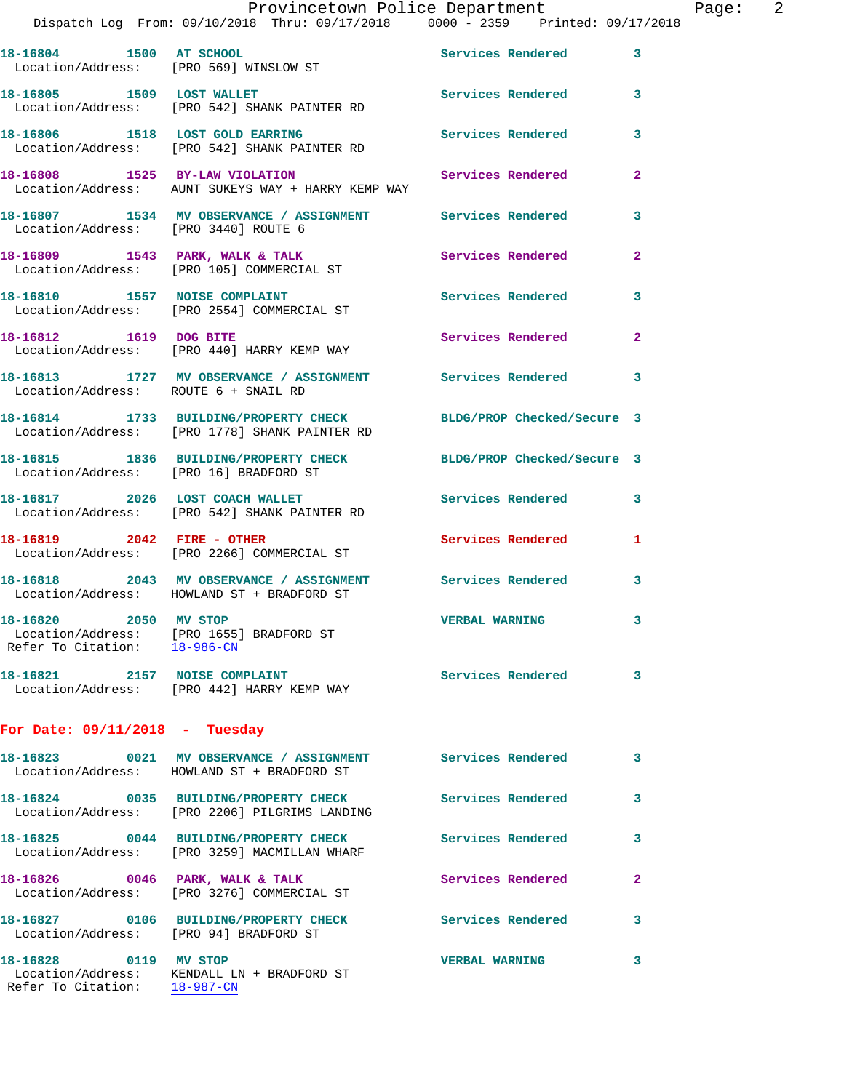|                                  |  | Provincetown Police Department |  |                                     | Paqe: | $\overline{2}$ |
|----------------------------------|--|--------------------------------|--|-------------------------------------|-------|----------------|
| rom: 09/10/2018 Thru: 09/17/2018 |  |                                |  | $0000 - 2359$ Printed: $09/17/2018$ |       |                |

|                                        | Dispatch Log From: 09/10/2018 Thru: 09/17/2018 0000 - 2359 Printed: 09/17/             |                            |                            |
|----------------------------------------|----------------------------------------------------------------------------------------|----------------------------|----------------------------|
| 18-16804 1500 AT SCHOOL                | Location/Address: [PRO 569] WINSLOW ST                                                 | Services Rendered          | 3                          |
| 18-16805 1509 LOST WALLET              | Location/Address: [PRO 542] SHANK PAINTER RD                                           | <b>Services Rendered</b>   | 3                          |
|                                        | 18-16806 1518 LOST GOLD EARRING<br>Location/Address: [PRO 542] SHANK PAINTER RD        | <b>Services Rendered</b>   | 3                          |
| 18-16808 1525 BY-LAW VIOLATION         | Location/Address: AUNT SUKEYS WAY + HARRY KEMP WAY                                     | Services Rendered          | $\mathbf{2}$               |
| Location/Address: [PRO 3440] ROUTE 6   | 18-16807 1534 MV OBSERVANCE / ASSIGNMENT Services Rendered                             |                            | 3                          |
|                                        | 18-16809 1543 PARK, WALK & TALK<br>Location/Address: [PRO 105] COMMERCIAL ST           | Services Rendered          | $\overline{2}$             |
|                                        | 18-16810 1557 NOISE COMPLAINT<br>Location/Address: [PRO 2554] COMMERCIAL ST            | Services Rendered          | 3                          |
| 18-16812 1619 DOG BITE                 | Location/Address: [PRO 440] HARRY KEMP WAY                                             | Services Rendered          | $\overline{2}$             |
| Location/Address: ROUTE 6 + SNAIL RD   | 18-16813 1727 MV OBSERVANCE / ASSIGNMENT Services Rendered 3                           |                            |                            |
|                                        | 18-16814 1733 BUILDING/PROPERTY CHECK<br>Location/Address: [PRO 1778] SHANK PAINTER RD | BLDG/PROP Checked/Secure 3 |                            |
| Location/Address: [PRO 16] BRADFORD ST | 18-16815 1836 BUILDING/PROPERTY CHECK                                                  | BLDG/PROP Checked/Secure 3 |                            |
|                                        | 18-16817 2026 LOST COACH WALLET<br>Location/Address: [PRO 542] SHANK PAINTER RD        | <b>Services Rendered</b>   | 3                          |
| 18-16819 2042 FIRE - OTHER             | Location/Address: [PRO 2266] COMMERCIAL ST                                             | Services Rendered          | 1                          |
|                                        | 18-16818 2043 MV OBSERVANCE / ASSIGNMENT<br>Location/Address: HOWLAND ST + BRADFORD ST | Services Rendered          | 3                          |
| 2050 MV STOP<br>18-16820               | Location/Address: [PRO 1655] BRADFORD ST<br>Refer To Citation: 18-986-CN               | <b>VERBAL WARNING</b>      | 3                          |
|                                        | 18-16821 2157 NOISE COMPLAINT<br>Location/Address: [PRO 442] HARRY KEMP WAY            | <b>Services Rendered</b>   | $\overline{\phantom{a}}$ 3 |
| For Date: $09/11/2018$ - Tuesday       |                                                                                        |                            |                            |
|                                        | 18-16823 0021 MV OBSERVANCE / ASSIGNMENT<br>Location/Address: HOWLAND ST + BRADFORD ST | <b>Services Rendered</b>   | $\overline{\mathbf{3}}$    |
|                                        | 18-16824 0035 BUILDING/PROPERTY CHECK<br>Location/Address: [PRO 2206] PILGRIMS LANDING | Services Rendered          | 3                          |
|                                        | 18-16825 0044 BUILDING/PROPERTY CHECK<br>Location/Address: [PRO 3259] MACMILLAN WHARF  | Services Rendered          | 3                          |
| 18-16826 0046 PARK, WALK & TALK        | Location/Address: [PRO 3276] COMMERCIAL ST                                             | Services Rendered          | $\mathbf{2}$               |
| Location/Address: [PRO 94] BRADFORD ST | 18-16827 0106 BUILDING/PROPERTY CHECK                                                  | Services Rendered          | 3                          |
| 18-16828 0119 MV STOP                  | Location/Address: KENDALL LN + BRADFORD ST<br>Refer To Citation: 18-987-CN             | <b>VERBAL WARNING</b>      | 3                          |
|                                        |                                                                                        |                            |                            |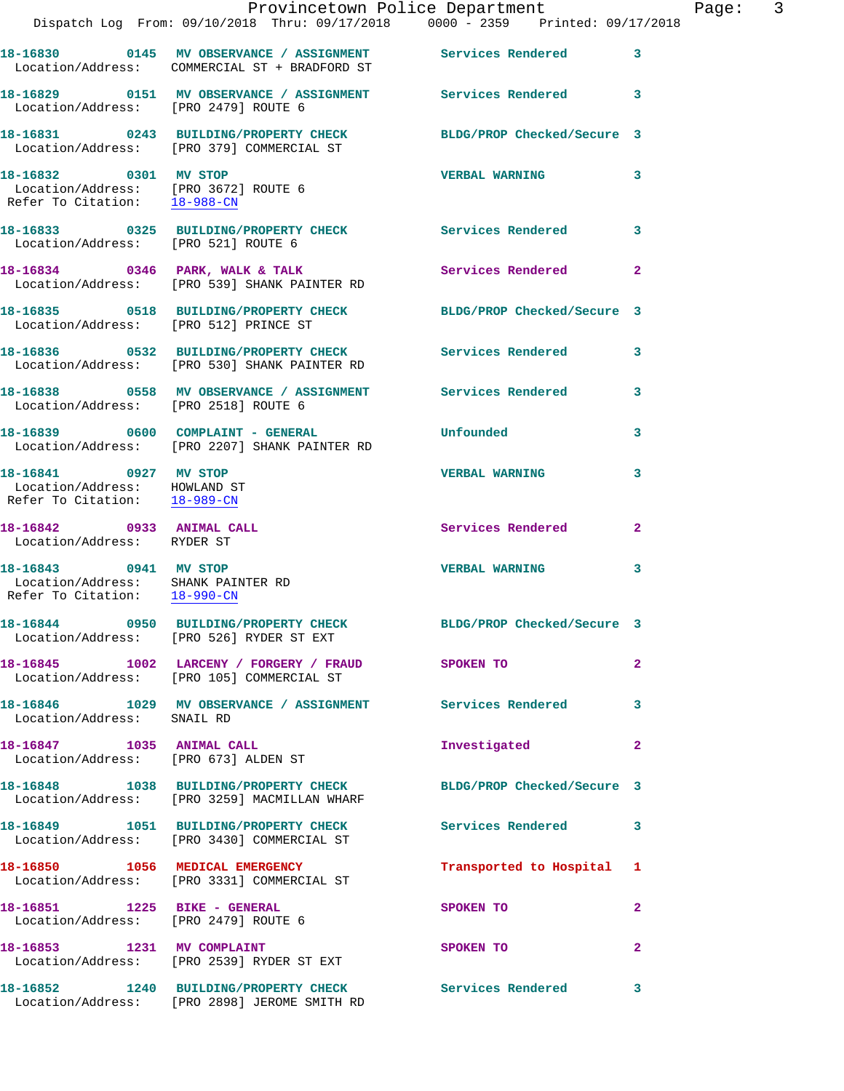|                                                                                               | Dispatch Log From: 09/10/2018 Thru: 09/17/2018 0000 - 2359 Printed: 09/17/2018                                | Provincetown Police Department |                | Page: 3 |  |
|-----------------------------------------------------------------------------------------------|---------------------------------------------------------------------------------------------------------------|--------------------------------|----------------|---------|--|
|                                                                                               | 18-16830 0145 MV OBSERVANCE / ASSIGNMENT Services Rendered<br>Location/Address: COMMERCIAL ST + BRADFORD ST   |                                | $\mathbf{3}$   |         |  |
| Location/Address: [PRO 2479] ROUTE 6                                                          | 18-16829 0151 MV OBSERVANCE / ASSIGNMENT Services Rendered 3                                                  |                                |                |         |  |
|                                                                                               | 18-16831 0243 BUILDING/PROPERTY CHECK BLDG/PROP Checked/Secure 3<br>Location/Address: [PRO 379] COMMERCIAL ST |                                |                |         |  |
| 18-16832 0301 MV STOP<br>Location/Address: [PRO 3672] ROUTE 6<br>Refer To Citation: 18-988-CN |                                                                                                               | <b>VERBAL WARNING</b>          | 3              |         |  |
| Location/Address: [PRO 521] ROUTE 6                                                           | 18-16833 0325 BUILDING/PROPERTY CHECK Services Rendered 3                                                     |                                |                |         |  |
|                                                                                               | 18-16834 0346 PARK, WALK & TALK Services Rendered<br>Location/Address: [PRO 539] SHANK PAINTER RD             |                                | $\mathbf{2}$   |         |  |
| Location/Address: [PRO 512] PRINCE ST                                                         | 18-16835 0518 BUILDING/PROPERTY CHECK BLDG/PROP Checked/Secure 3                                              |                                |                |         |  |
|                                                                                               | 18-16836 0532 BUILDING/PROPERTY CHECK Services Rendered<br>Location/Address: [PRO 530] SHANK PAINTER RD       |                                | 3              |         |  |
| Location/Address: [PRO 2518] ROUTE 6                                                          | 18-16838 0558 MV OBSERVANCE / ASSIGNMENT Services Rendered 3                                                  |                                |                |         |  |
|                                                                                               |                                                                                                               | Unfounded                      | 3              |         |  |
| 18-16841 0927 MV STOP<br>Location/Address: HOWLAND ST<br>Refer To Citation: 18-989-CN         |                                                                                                               | <b>VERBAL WARNING</b>          | 3              |         |  |
| 18-16842 0933 ANIMAL CALL<br>Location/Address: RYDER ST                                       |                                                                                                               | Services Rendered              | $\mathbf{2}$   |         |  |
| 18-16843 0941 MV STOP<br>Location/Address: SHANK PAINTER RD<br>Refer To Citation: 18-990-CN   |                                                                                                               | <b>VERBAL WARNING</b>          | 3              |         |  |
|                                                                                               | 18-16844 0950 BUILDING/PROPERTY CHECK<br>Location/Address: [PRO 526] RYDER ST EXT                             | BLDG/PROP Checked/Secure 3     |                |         |  |
|                                                                                               | 18-16845 1002 LARCENY / FORGERY / FRAUD SPOKEN TO<br>Location/Address: [PRO 105] COMMERCIAL ST                |                                | $\overline{2}$ |         |  |
| Location/Address: SNAIL RD                                                                    | 18-16846 1029 MV OBSERVANCE / ASSIGNMENT Services Rendered                                                    |                                | 3              |         |  |
| Location/Address: [PRO 673] ALDEN ST                                                          | 18-16847 1035 ANIMAL CALL                                                                                     | Investigated                   | $\overline{2}$ |         |  |
|                                                                                               | 18-16848 1038 BUILDING/PROPERTY CHECK<br>Location/Address: [PRO 3259] MACMILLAN WHARF                         | BLDG/PROP Checked/Secure 3     |                |         |  |
|                                                                                               | 18-16849 1051 BUILDING/PROPERTY CHECK Services Rendered<br>Location/Address: [PRO 3430] COMMERCIAL ST         |                                | 3              |         |  |
|                                                                                               | 18-16850 1056 MEDICAL EMERGENCY<br>Location/Address: [PRO 3331] COMMERCIAL ST                                 | Transported to Hospital 1      |                |         |  |
| Location/Address: [PRO 2479] ROUTE 6                                                          |                                                                                                               | SPOKEN TO                      | $\overline{2}$ |         |  |
|                                                                                               | 18-16853 1231 MV COMPLAINT<br>Location/Address: [PRO 2539] RYDER ST EXT                                       | SPOKEN TO                      | $\mathbf{2}$   |         |  |
|                                                                                               | 18-16852 1240 BUILDING/PROPERTY CHECK<br>Location/Address: [PRO 2898] JEROME SMITH RD                         | Services Rendered              | 3              |         |  |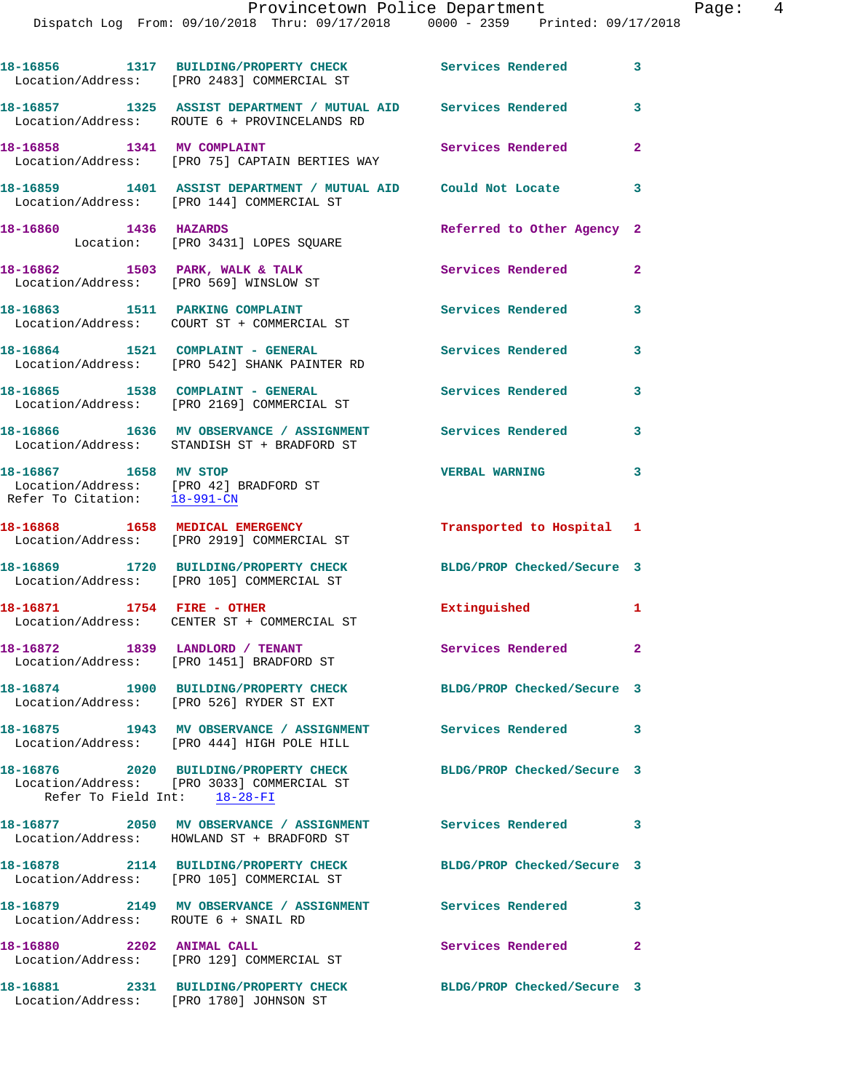## Provincetown Police Department Fage: 4

Dispatch Log From: 09/10/2018 Thru: 09/17/2018 0000 - 2359 Printed: 09/17/2018

|                                                       | 18-16856 1317 BUILDING/PROPERTY CHECK<br>Location/Address: [PRO 2483] COMMERCIAL ST                            | Services Rendered          | 3              |
|-------------------------------------------------------|----------------------------------------------------------------------------------------------------------------|----------------------------|----------------|
|                                                       | 18-16857 1325 ASSIST DEPARTMENT / MUTUAL AID Services Rendered<br>Location/Address: ROUTE 6 + PROVINCELANDS RD |                            | 3              |
| 18-16858 1341 MV COMPLAINT                            | Location/Address: [PRO 75] CAPTAIN BERTIES WAY                                                                 | Services Rendered          | $\overline{2}$ |
|                                                       | 18-16859 1401 ASSIST DEPARTMENT / MUTUAL AID Could Not Locate<br>Location/Address: [PRO 144] COMMERCIAL ST     |                            | 3              |
| 18-16860 1436 HAZARDS                                 | Location: [PRO 3431] LOPES SQUARE                                                                              | Referred to Other Agency 2 |                |
| Location/Address: [PRO 569] WINSLOW ST                | 18-16862 1503 PARK, WALK & TALK                                                                                | Services Rendered          | $\overline{2}$ |
|                                                       | 18-16863 1511 PARKING COMPLAINT<br>Location/Address: COURT ST + COMMERCIAL ST                                  | Services Rendered          | $\mathbf{3}$   |
|                                                       | 18-16864 1521 COMPLAINT - GENERAL<br>Location/Address: [PRO 542] SHANK PAINTER RD                              | <b>Services Rendered</b>   | 3              |
| 18-16865 1538 COMPLAINT - GENERAL                     | Location/Address: [PRO 2169] COMMERCIAL ST                                                                     | <b>Services Rendered</b>   | 3              |
|                                                       | 18-16866 1636 MV OBSERVANCE / ASSIGNMENT<br>Location/Address: STANDISH ST + BRADFORD ST                        | <b>Services Rendered</b>   | 3              |
| 18-16867 1658 MV STOP<br>Refer To Citation: 18-991-CN | Location/Address: [PRO 42] BRADFORD ST                                                                         | <b>VERBAL WARNING</b>      | 3              |
|                                                       | 18-16868 1658 MEDICAL EMERGENCY<br>Location/Address: [PRO 2919] COMMERCIAL ST                                  | Transported to Hospital 1  |                |
|                                                       | 18-16869 1720 BUILDING/PROPERTY CHECK<br>Location/Address: [PRO 105] COMMERCIAL ST                             | BLDG/PROP Checked/Secure 3 |                |
| 18-16871                                              | 1754 FIRE - OTHER<br>Location/Address: CENTER ST + COMMERCIAL ST                                               | Extinguished               | $\mathbf{1}$   |
| 18-16872                                              | 1839 LANDLORD / TENANT<br>Location/Address: [PRO 1451] BRADFORD ST                                             | Services Rendered          | $\mathbf{2}$   |
|                                                       | 18-16874 1900 BUILDING/PROPERTY CHECK<br>Location/Address: [PRO 526] RYDER ST EXT                              | BLDG/PROP Checked/Secure 3 |                |
|                                                       | 18-16875 1943 MV OBSERVANCE / ASSIGNMENT Services Rendered 3<br>Location/Address: [PRO 444] HIGH POLE HILL     |                            |                |
| Refer To Field Int: 18-28-FI                          | 18-16876 2020 BUILDING/PROPERTY CHECK<br>Location/Address: [PRO 3033] COMMERCIAL ST                            | BLDG/PROP Checked/Secure 3 |                |
|                                                       | 18-16877 2050 MV OBSERVANCE / ASSIGNMENT Services Rendered<br>Location/Address: HOWLAND ST + BRADFORD ST       |                            | 3              |
|                                                       | 18-16878 2114 BUILDING/PROPERTY CHECK<br>Location/Address: [PRO 105] COMMERCIAL ST                             | BLDG/PROP Checked/Secure 3 |                |
| Location/Address: ROUTE 6 + SNAIL RD                  | 18-16879 2149 MV OBSERVANCE / ASSIGNMENT Services Rendered                                                     |                            | 3              |
| 18-16880                                              | 2202 ANIMAL CALL<br>Location/Address: [PRO 129] COMMERCIAL ST                                                  | Services Rendered          | $\mathbf{2}$   |
|                                                       |                                                                                                                | BLDG/PROP Checked/Secure 3 |                |

Location/Address: [PRO 1780] JOHNSON ST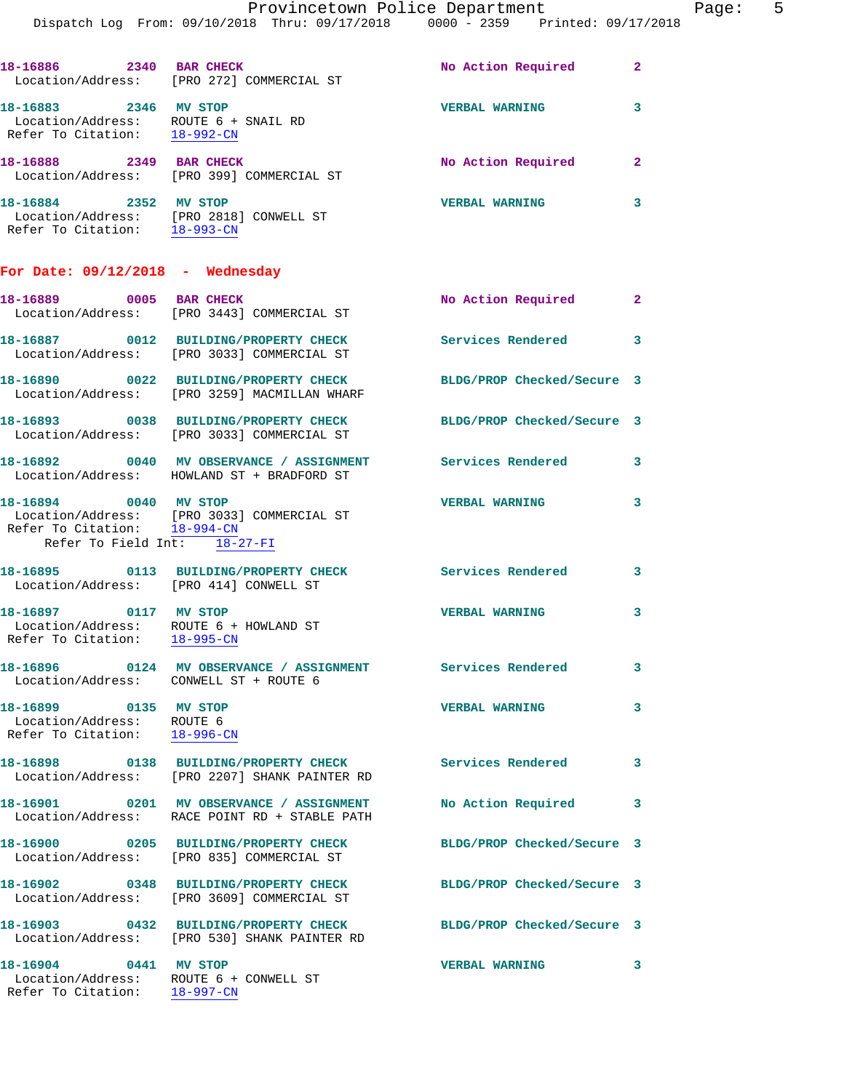Dispatch Log From: 09/10/2018 Thru: 09/17/2018 0000 - 2359 Printed: 09/17/2018

| 18-16886<br>2340<br>Location/Address:                                          | <b>BAR CHECK</b><br>[PRO 272] COMMERCIAL ST | No Action Required<br>2 |
|--------------------------------------------------------------------------------|---------------------------------------------|-------------------------|
| 18-16883<br>2346<br>Location/Address: ROUTE 6 + SNAIL RD<br>Refer To Citation: | MV STOP<br>$18 - 992 - CN$                  | <b>VERBAL WARNING</b>   |
| 18-16888<br>2349<br>Location/Address:                                          | <b>BAR CHECK</b><br>[PRO 399] COMMERCIAL ST | No Action Required      |

**18-16884 2352 MV STOP VERBAL WARNING 3**  Location/Address: [PRO 2818] CONWELL ST Refer To Citation: 18-993-CN

**For Date: 09/12/2018 - Wednesday**

| 18-16889 0005 BAR CHECK                                                                         | Location/Address: [PRO 3443] COMMERCIAL ST                                                | No Action Required 2       |                         |
|-------------------------------------------------------------------------------------------------|-------------------------------------------------------------------------------------------|----------------------------|-------------------------|
| Location/Address:                                                                               | 18-16887 0012 BUILDING/PROPERTY CHECK<br>[PRO 3033] COMMERCIAL ST                         | <b>Services Rendered</b>   | $\overline{\mathbf{3}}$ |
| Location/Address:                                                                               | 18-16890 0022 BUILDING/PROPERTY CHECK<br>[PRO 3259] MACMILLAN WHARF                       | BLDG/PROP Checked/Secure 3 |                         |
| Location/Address:                                                                               | 18-16893 0038 BUILDING/PROPERTY CHECK<br>[PRO 3033] COMMERCIAL ST                         | BLDG/PROP Checked/Secure 3 |                         |
|                                                                                                 | 18-16892 0040 MV OBSERVANCE / ASSIGNMENT<br>Location/Address: HOWLAND ST + BRADFORD ST    | <b>Services Rendered</b> 3 |                         |
| 18-16894 0040 MV STOP<br>Refer To Field Int: 18-27-FI                                           | Location/Address: [PRO 3033] COMMERCIAL ST<br>Refer To Citation: 18-994-CN                | <b>VERBAL WARNING</b>      | 3                       |
| Location/Address: [PRO 414] CONWELL ST                                                          | 18-16895 0113 BUILDING/PROPERTY CHECK                                                     | <b>Services Rendered</b>   | $\overline{\mathbf{3}}$ |
| 18-16897 0117 MV STOP<br>Location/Address: ROUTE 6 + HOWLAND ST<br>Refer To Citation: 18-995-CN |                                                                                           | <b>VERBAL WARNING</b>      | 3                       |
| Location/Address: CONWELL ST + ROUTE 6                                                          | 18-16896 0124 MV OBSERVANCE / ASSIGNMENT Services Rendered                                |                            | 3                       |
| 18-16899 0135 MV STOP<br>Location/Address: ROUTE 6<br>Refer To Citation: 18-996-CN              |                                                                                           | <b>VERBAL WARNING</b>      | 3                       |
|                                                                                                 | 18-16898 0138 BUILDING/PROPERTY CHECK<br>Location/Address: [PRO 2207] SHANK PAINTER RD    | <b>Services Rendered</b>   | 3                       |
|                                                                                                 | 18-16901 0201 MV OBSERVANCE / ASSIGNMENT<br>Location/Address: RACE POINT RD + STABLE PATH | No Action Required         | 3                       |
|                                                                                                 | 18-16900 0205 BUILDING/PROPERTY CHECK<br>Location/Address: [PRO 835] COMMERCIAL ST        | BLDG/PROP Checked/Secure 3 |                         |
|                                                                                                 | 18-16902 0348 BUILDING/PROPERTY CHECK<br>Location/Address: [PRO 3609] COMMERCIAL ST       | BLDG/PROP Checked/Secure 3 |                         |
| Location/Address:                                                                               | 18-16903 0432 BUILDING/PROPERTY CHECK<br>[PRO 530] SHANK PAINTER RD                       | BLDG/PROP Checked/Secure 3 |                         |
| 18-16904 0441 MV STOP<br>Location/Address:<br>Refer To Citation:                                | ROUTE 6 + CONWELL ST<br>18-997-CN                                                         | <b>VERBAL WARNING</b>      | 3                       |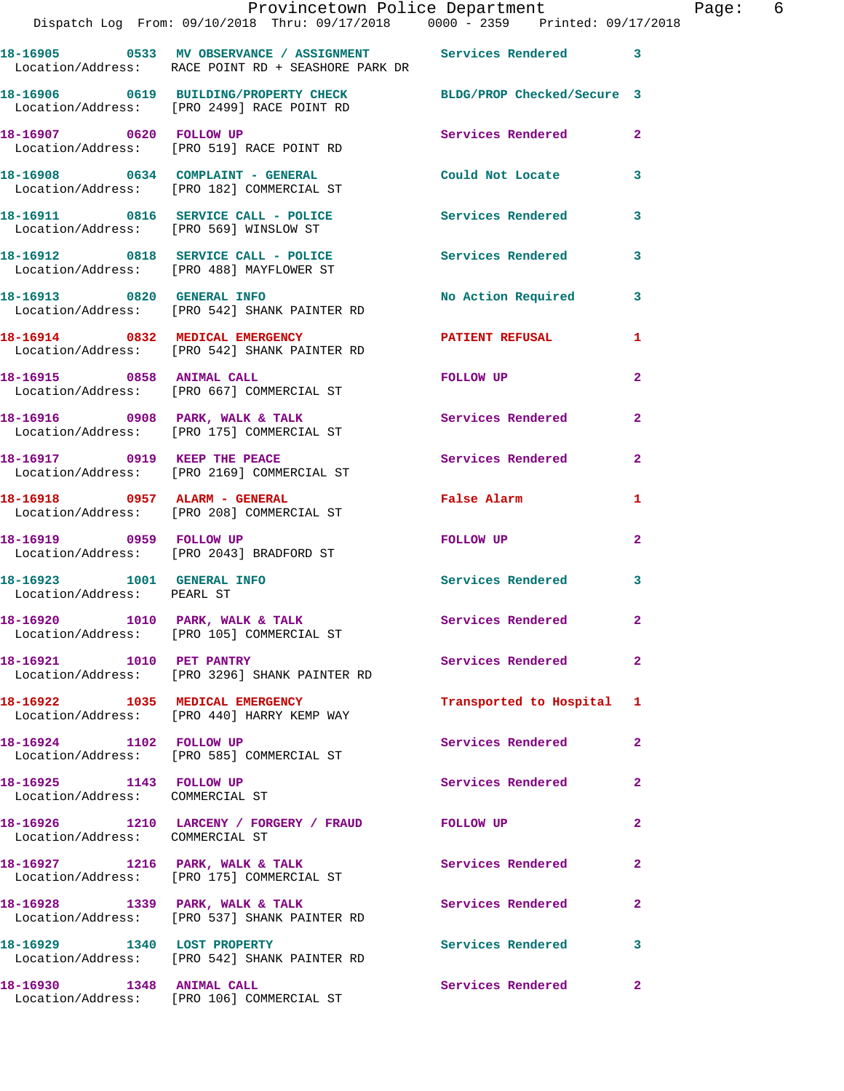|                                                            | Provincetown Police Department The Page: 6<br>Dispatch Log From: 09/10/2018 Thru: 09/17/2018 0000 - 2359 Printed: 09/17/2018 |                           |                |  |
|------------------------------------------------------------|------------------------------------------------------------------------------------------------------------------------------|---------------------------|----------------|--|
|                                                            | 18-16905 0533 MV OBSERVANCE / ASSIGNMENT Services Rendered 3<br>Location/Address: RACE POINT RD + SEASHORE PARK DR           |                           |                |  |
|                                                            | 18-16906 0619 BUILDING/PROPERTY CHECK BLDG/PROP Checked/Secure 3<br>Location/Address: [PRO 2499] RACE POINT RD               |                           |                |  |
|                                                            | 18-16907 0620 FOLLOW UP<br>Location/Address: [PRO 519] RACE POINT RD                                                         | Services Rendered         | $\mathbf{2}$   |  |
|                                                            | 18-16908 0634 COMPLAINT - GENERAL Could Not Locate<br>Location/Address: [PRO 182] COMMERCIAL ST                              |                           | $\mathbf{3}$   |  |
|                                                            | 18-16911 0816 SERVICE CALL - POLICE 3 Services Rendered 3<br>Location/Address: [PRO 569] WINSLOW ST                          |                           |                |  |
|                                                            | 18-16912 0818 SERVICE CALL - POLICE 3 Services Rendered<br>Location/Address: [PRO 488] MAYFLOWER ST                          |                           | 3              |  |
|                                                            | 18-16913 0820 GENERAL INFO<br>Location/Address: [PRO 542] SHANK PAINTER RD                                                   | No Action Required 3      |                |  |
|                                                            | 18-16914 0832 MEDICAL EMERGENCY PATIENT REFUSAL<br>Location/Address: [PRO 542] SHANK PAINTER RD                              |                           | 1              |  |
|                                                            | 18-16915 0858 ANIMAL CALL<br>Location/Address: [PRO 667] COMMERCIAL ST                                                       | FOLLOW UP                 | $\overline{2}$ |  |
|                                                            | 18-16916 0908 PARK, WALK & TALK 3 Services Rendered<br>Location/Address: [PRO 175] COMMERCIAL ST                             |                           | $\mathbf{2}$   |  |
|                                                            | 18-16917 0919 KEEP THE PEACE<br>Location/Address: [PRO 2169] COMMERCIAL ST                                                   | Services Rendered         | $\overline{2}$ |  |
|                                                            | 18-16918 0957 ALARM - GENERAL<br>Location/Address: [PRO 208] COMMERCIAL ST                                                   | False Alarm               | 1              |  |
|                                                            | 18-16919 0959 FOLLOW UP<br>Location/Address: [PRO 2043] BRADFORD ST                                                          | FOLLOW UP                 | $\mathbf{2}$   |  |
| Location/Address: PEARL ST                                 | 18-16923 1001 GENERAL INFO                                                                                                   | Services Rendered 3       |                |  |
|                                                            | 18-16920 1010 PARK, WALK & TALK<br>Location/Address: [PRO 105] COMMERCIAL ST                                                 | Services Rendered         |                |  |
| 18-16921 1010 PET PANTRY                                   | Location/Address: [PRO 3296] SHANK PAINTER RD                                                                                | Services Rendered         | $\overline{2}$ |  |
|                                                            | 18-16922 1035 MEDICAL EMERGENCY<br>Location/Address: [PRO 440] HARRY KEMP WAY                                                | Transported to Hospital 1 |                |  |
|                                                            | 18-16924 1102 FOLLOW UP<br>Location/Address: [PRO 585] COMMERCIAL ST                                                         | Services Rendered         | $\overline{2}$ |  |
| 18-16925 1143 FOLLOW UP<br>Location/Address: COMMERCIAL ST |                                                                                                                              | <b>Services Rendered</b>  | $\mathbf{2}$   |  |
| Location/Address: COMMERCIAL ST                            | 18-16926 1210 LARCENY / FORGERY / FRAUD FOLLOW UP                                                                            |                           | $\mathbf{2}$   |  |
|                                                            | 18-16927 1216 PARK, WALK & TALK<br>Location/Address: [PRO 175] COMMERCIAL ST                                                 | Services Rendered         | $\mathbf{2}$   |  |
|                                                            | 18-16928 1339 PARK, WALK & TALK<br>Location/Address: [PRO 537] SHANK PAINTER RD                                              | Services Rendered         | 2              |  |
| 18-16929 1340 LOST PROPERTY                                | Location/Address: [PRO 542] SHANK PAINTER RD                                                                                 | Services Rendered         | 3              |  |
| 18-16930 1348 ANIMAL CALL                                  |                                                                                                                              | Services Rendered         | $\mathbf{2}$   |  |

Location/Address: [PRO 106] COMMERCIAL ST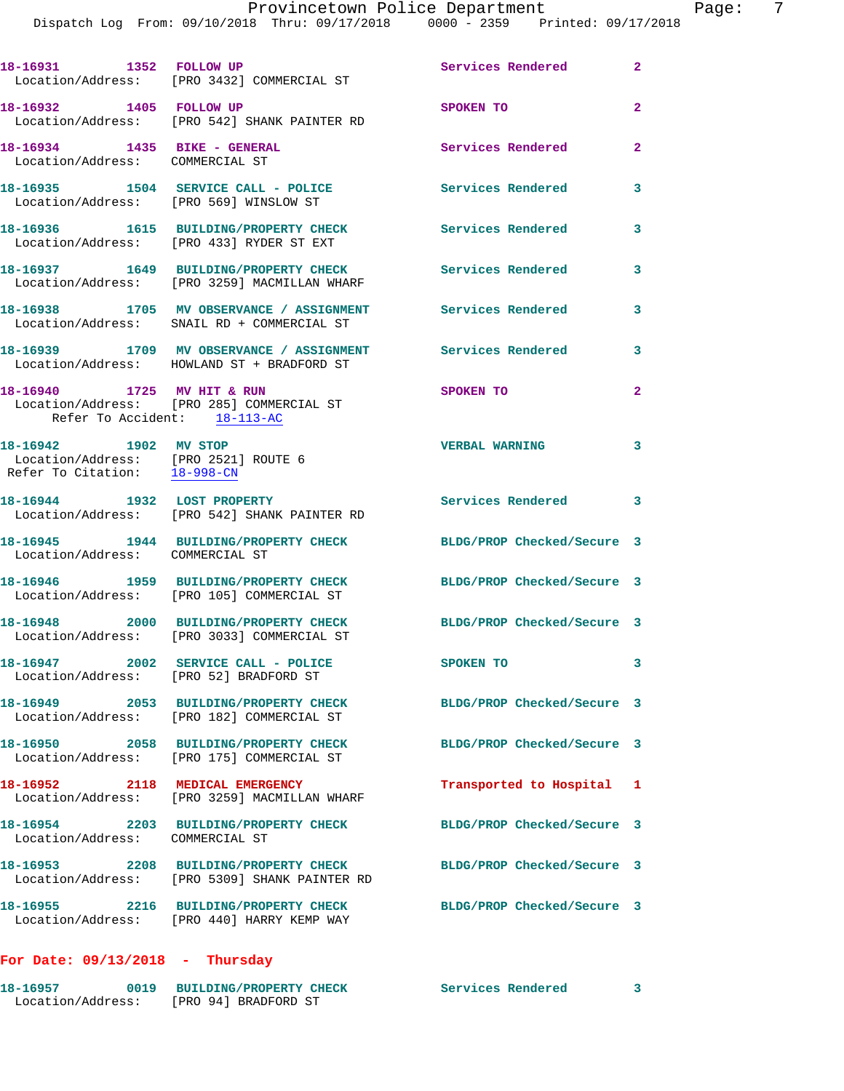| 18-16931 1352 FOLLOW UP                                                                       | Location/Address: [PRO 3432] COMMERCIAL ST                                             | Services Rendered          | $\mathbf{2}$   |
|-----------------------------------------------------------------------------------------------|----------------------------------------------------------------------------------------|----------------------------|----------------|
| 18-16932 1405 FOLLOW UP                                                                       | Location/Address: [PRO 542] SHANK PAINTER RD                                           | SPOKEN TO                  | $\overline{2}$ |
| 18-16934 1435 BIKE - GENERAL<br>Location/Address: COMMERCIAL ST                               |                                                                                        | Services Rendered          | $\overline{a}$ |
| Location/Address: [PRO 569] WINSLOW ST                                                        | 18-16935 1504 SERVICE CALL - POLICE                                                    | <b>Services Rendered</b>   | 3              |
|                                                                                               | 18-16936  1615 BUILDING/PROPERTY CHECK<br>Location/Address: [PRO 433] RYDER ST EXT     | Services Rendered          | 3              |
|                                                                                               | 18-16937 1649 BUILDING/PROPERTY CHECK<br>Location/Address: [PRO 3259] MACMILLAN WHARF  | Services Rendered          | 3              |
|                                                                                               | 18-16938 1705 MV OBSERVANCE / ASSIGNMENT<br>Location/Address: SNAIL RD + COMMERCIAL ST | Services Rendered          | 3              |
|                                                                                               | 18-16939 1709 MV OBSERVANCE / ASSIGNMENT<br>Location/Address: HOWLAND ST + BRADFORD ST | <b>Services Rendered</b>   | 3              |
| 18-16940 1725 MV HIT & RUN<br>Refer To Accident: 18-113-AC                                    | Location/Address: [PRO 285] COMMERCIAL ST                                              | SPOKEN TO                  | $\overline{2}$ |
| 18-16942 1902 MV STOP<br>Location/Address: [PRO 2521] ROUTE 6<br>Refer To Citation: 18-998-CN |                                                                                        | <b>VERBAL WARNING</b>      | 3              |
|                                                                                               | 18-16944 1932 LOST PROPERTY<br>Location/Address: [PRO 542] SHANK PAINTER RD            | Services Rendered 3        |                |
| Location/Address: COMMERCIAL ST                                                               | 18-16945 1944 BUILDING/PROPERTY CHECK                                                  | BLDG/PROP Checked/Secure 3 |                |
|                                                                                               | 18-16946 1959 BUILDING/PROPERTY CHECK<br>Location/Address: [PRO 105] COMMERCIAL ST     | BLDG/PROP Checked/Secure 3 |                |
|                                                                                               | 18-16948 2000 BUILDING/PROPERTY CHECK<br>Location/Address: [PRO 3033] COMMERCIAL ST    | BLDG/PROP Checked/Secure 3 |                |
|                                                                                               | 18-16947 2002 SERVICE CALL - POLICE<br>Location/Address: [PRO 52] BRADFORD ST          | SPOKEN TO                  |                |
|                                                                                               | 18-16949 2053 BUILDING/PROPERTY CHECK<br>Location/Address: [PRO 182] COMMERCIAL ST     | BLDG/PROP Checked/Secure 3 |                |
|                                                                                               | 18-16950 2058 BUILDING/PROPERTY CHECK<br>Location/Address: [PRO 175] COMMERCIAL ST     | BLDG/PROP Checked/Secure 3 |                |
|                                                                                               | 18-16952 2118 MEDICAL EMERGENCY<br>Location/Address: [PRO 3259] MACMILLAN WHARF        | Transported to Hospital 1  |                |
| Location/Address: COMMERCIAL ST                                                               | 18-16954 2203 BUILDING/PROPERTY CHECK                                                  | BLDG/PROP Checked/Secure 3 |                |
|                                                                                               | Location/Address: [PRO 5309] SHANK PAINTER RD                                          | BLDG/PROP Checked/Secure 3 |                |
|                                                                                               | 18-16955 2216 BUILDING/PROPERTY CHECK<br>Location/Address: [PRO 440] HARRY KEMP WAY    | BLDG/PROP Checked/Secure 3 |                |

## **For Date: 09/13/2018 - Thursday**

| 18-16957          | 0019 BUILDING/PROPERTY CHECK | Services Rendered |  |
|-------------------|------------------------------|-------------------|--|
| Location/Address: | [PRO 94] BRADFORD ST         |                   |  |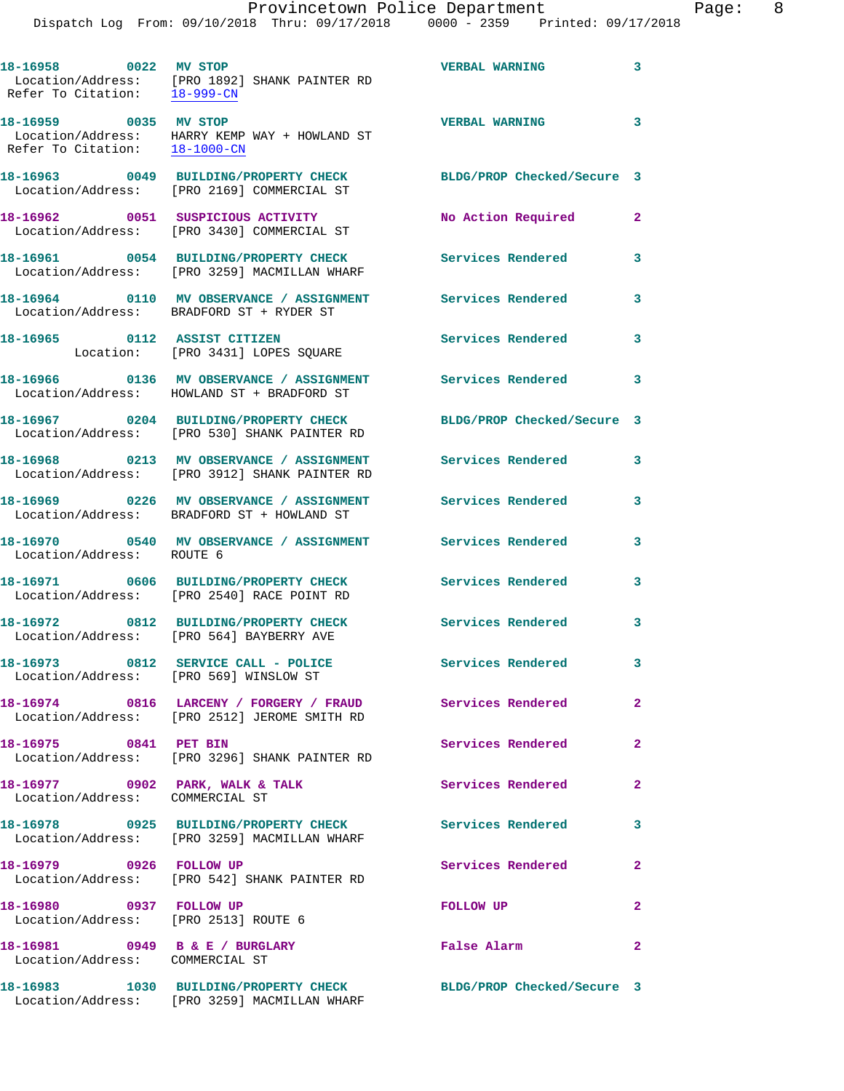| 18-16958 0022 MV STOP                                              | Location/Address: [PRO 1892] SHANK PAINTER RD<br>Refer To Citation: 18-999-CN                               | <b>VERBAL WARNING</b>      | 3            |
|--------------------------------------------------------------------|-------------------------------------------------------------------------------------------------------------|----------------------------|--------------|
| Refer To Citation: $\frac{18-1000-CN}{\ }$                         |                                                                                                             | <b>VERBAL WARNING</b>      | 3            |
|                                                                    | 18-16963 0049 BUILDING/PROPERTY CHECK<br>Location/Address: [PRO 2169] COMMERCIAL ST                         | BLDG/PROP Checked/Secure 3 |              |
|                                                                    | 18-16962 0051 SUSPICIOUS ACTIVITY<br>Location/Address: [PRO 3430] COMMERCIAL ST                             | No Action Required         | $\mathbf{2}$ |
|                                                                    | 18-16961 0054 BUILDING/PROPERTY CHECK<br>Location/Address: [PRO 3259] MACMILLAN WHARF                       | <b>Services Rendered</b>   | 3            |
|                                                                    | 18-16964 0110 MV OBSERVANCE / ASSIGNMENT Services Rendered<br>Location/Address: BRADFORD ST + RYDER ST      |                            | 3            |
|                                                                    | 18-16965 0112 ASSIST CITIZEN<br>Location: [PRO 3431] LOPES SQUARE                                           | <b>Services Rendered</b>   | 3            |
|                                                                    | 18-16966 0136 MV OBSERVANCE / ASSIGNMENT Services Rendered 3<br>Location/Address: HOWLAND ST + BRADFORD ST  |                            |              |
|                                                                    | 18-16967 0204 BUILDING/PROPERTY CHECK<br>Location/Address: [PRO 530] SHANK PAINTER RD                       | BLDG/PROP Checked/Secure 3 |              |
|                                                                    | 18-16968 0213 MV OBSERVANCE / ASSIGNMENT<br>Location/Address: [PRO 3912] SHANK PAINTER RD                   | <b>Services Rendered</b>   | 3            |
|                                                                    | 18-16969 0226 MV OBSERVANCE / ASSIGNMENT<br>Location/Address: BRADFORD ST + HOWLAND ST                      | <b>Services Rendered</b>   | 3            |
| Location/Address: ROUTE 6                                          | 18-16970 0540 MV OBSERVANCE / ASSIGNMENT Services Rendered                                                  |                            | 3            |
|                                                                    | 18-16971 0606 BUILDING/PROPERTY CHECK<br>Location/Address: [PRO 2540] RACE POINT RD                         | <b>Services Rendered</b>   | 3            |
|                                                                    | 18-16972 0812 BUILDING/PROPERTY CHECK<br>Location/Address: [PRO 564] BAYBERRY AVE                           | <b>Services Rendered</b>   | 3            |
| Location/Address: [PRO 569] WINSLOW ST                             | 18-16973 0812 SERVICE CALL - POLICE                                                                         | Services Rendered          | 3            |
|                                                                    | 18-16974 0816 LARCENY / FORGERY / FRAUD Services Rendered 2<br>Location/Address: [PRO 2512] JEROME SMITH RD |                            |              |
| 18-16975 0841 PET BIN                                              | Location/Address: [PRO 3296] SHANK PAINTER RD                                                               | Services Rendered          | $\mathbf{2}$ |
| 18-16977 0902 PARK, WALK & TALK<br>Location/Address: COMMERCIAL ST |                                                                                                             | Services Rendered 2        |              |
|                                                                    | 18-16978 0925 BUILDING/PROPERTY CHECK Services Rendered<br>Location/Address: [PRO 3259] MACMILLAN WHARF     |                            | 3            |
| 18-16979 0926 FOLLOW UP                                            | Location/Address: [PRO 542] SHANK PAINTER RD                                                                | Services Rendered 2        |              |
| 18-16980 0937 FOLLOW UP<br>Location/Address: [PRO 2513] ROUTE 6    |                                                                                                             | FOLLOW UP                  | $\mathbf{2}$ |
| 18-16981 0949 B & E / BURGLARY<br>Location/Address: COMMERCIAL ST  |                                                                                                             | False Alarm                | $\mathbf{2}$ |
|                                                                    | 18-16983 1030 BUILDING/PROPERTY CHECK BLDG/PROP Checked/Secure 3                                            |                            |              |

Location/Address: [PRO 3259] MACMILLAN WHARF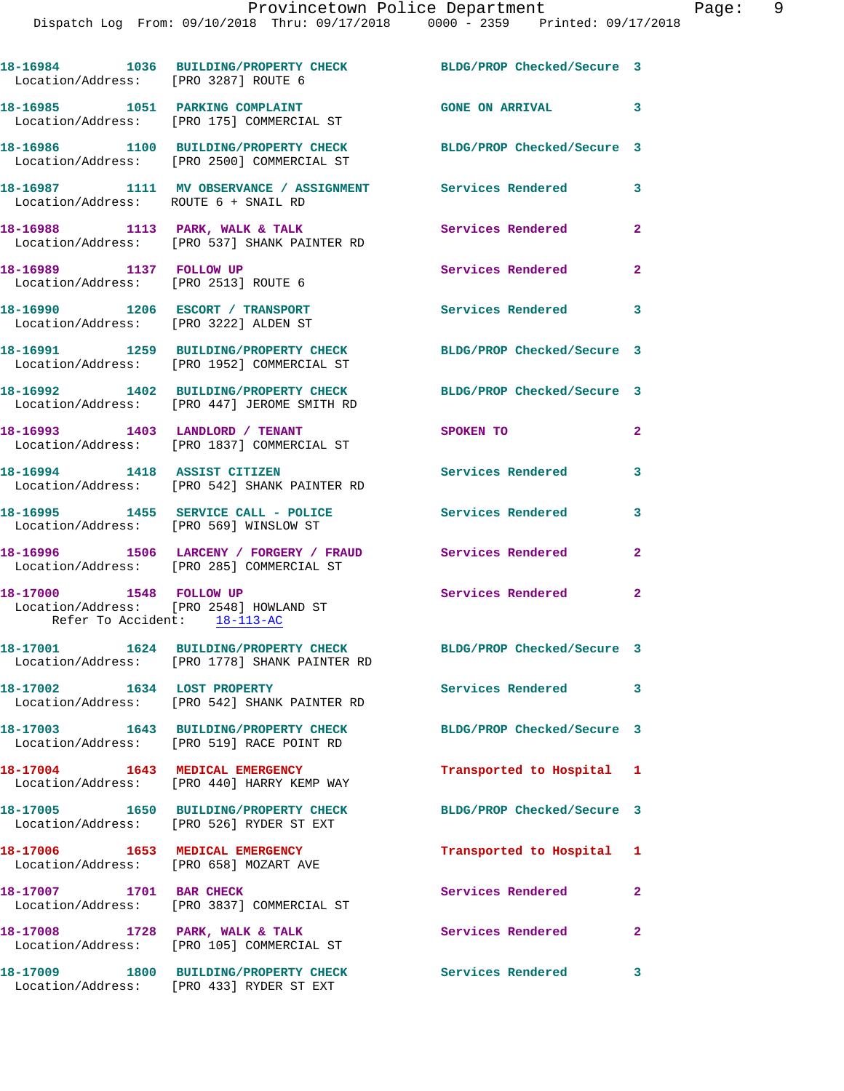| Location/Address: [PRO 3287] ROUTE 6                                      | 18-16984 1036 BUILDING/PROPERTY CHECK                                                                             | BLDG/PROP Checked/Secure 3 |                         |
|---------------------------------------------------------------------------|-------------------------------------------------------------------------------------------------------------------|----------------------------|-------------------------|
|                                                                           | 18-16985 1051 PARKING COMPLAINT<br>Location/Address: [PRO 175] COMMERCIAL ST                                      | GONE ON ARRIVAL 3          |                         |
|                                                                           | 18-16986 1100 BUILDING/PROPERTY CHECK<br>Location/Address: [PRO 2500] COMMERCIAL ST                               | BLDG/PROP Checked/Secure 3 |                         |
| Location/Address: ROUTE 6 + SNAIL RD                                      | 18-16987 1111 MV OBSERVANCE / ASSIGNMENT Services Rendered                                                        |                            | 3                       |
|                                                                           | 18-16988 1113 PARK, WALK & TALK<br>Location/Address: [PRO 537] SHANK PAINTER RD                                   | Services Rendered          | $\mathbf{2}$            |
| 18-16989 1137 FOLLOW UP<br>Location/Address: [PRO 2513] ROUTE 6           |                                                                                                                   | Services Rendered          | $\overline{\mathbf{2}}$ |
| 18-16990 1206 ESCORT / TRANSPORT<br>Location/Address: [PRO 3222] ALDEN ST |                                                                                                                   | <b>Services Rendered</b>   | $\overline{\mathbf{3}}$ |
|                                                                           | 18-16991 1259 BUILDING/PROPERTY CHECK<br>Location/Address: [PRO 1952] COMMERCIAL ST                               | BLDG/PROP Checked/Secure 3 |                         |
|                                                                           | 18-16992 1402 BUILDING/PROPERTY CHECK BLDG/PROP Checked/Secure 3<br>Location/Address: [PRO 447] JEROME SMITH RD   |                            |                         |
|                                                                           | 18-16993 1403 LANDLORD / TENANT<br>Location/Address: [PRO 1837] COMMERCIAL ST                                     | SPOKEN TO                  | $\overline{2}$          |
|                                                                           | 18-16994 1418 ASSIST CITIZEN<br>Location/Address: [PRO 542] SHANK PAINTER RD                                      | Services Rendered          | 3                       |
| Location/Address: [PRO 569] WINSLOW ST                                    | 18-16995 1455 SERVICE CALL - POLICE Services Rendered                                                             |                            | $\mathbf{3}$            |
|                                                                           | 18-16996 1506 LARCENY / FORGERY / FRAUD Services Rendered<br>Location/Address: [PRO 285] COMMERCIAL ST            |                            | $\mathbf{2}$            |
| 18-17000 1548 FOLLOW UP<br>Refer To Accident: 18-113-AC                   | Location/Address: [PRO 2548] HOWLAND ST                                                                           | Services Rendered 2        |                         |
|                                                                           | 18-17001 1624 BUILDING/PROPERTY CHECK BLDG/PROP Checked/Secure 3<br>Location/Address: [PRO 1778] SHANK PAINTER RD |                            |                         |
| 18-17002 1634 LOST PROPERTY                                               | Location/Address: [PRO 542] SHANK PAINTER RD                                                                      | Services Rendered          | 3                       |
|                                                                           | 18-17003 1643 BUILDING/PROPERTY CHECK<br>Location/Address: [PRO 519] RACE POINT RD                                | BLDG/PROP Checked/Secure 3 |                         |
|                                                                           | 18-17004 1643 MEDICAL EMERGENCY<br>Location/Address: [PRO 440] HARRY KEMP WAY                                     | Transported to Hospital 1  |                         |
|                                                                           | 18-17005 1650 BUILDING/PROPERTY CHECK<br>Location/Address: [PRO 526] RYDER ST EXT                                 | BLDG/PROP Checked/Secure 3 |                         |
| 18-17006 1653 MEDICAL EMERGENCY<br>Location/Address: [PRO 658] MOZART AVE |                                                                                                                   | Transported to Hospital 1  |                         |
| 18-17007 1701 BAR CHECK                                                   | Location/Address: [PRO 3837] COMMERCIAL ST                                                                        | Services Rendered          | 2                       |
| 18-17008 1728 PARK, WALK & TALK                                           | Location/Address: [PRO 105] COMMERCIAL ST                                                                         | Services Rendered          | 2                       |
|                                                                           | 18-17009 1800 BUILDING/PROPERTY CHECK<br>Location/Address: [PRO 433] RYDER ST EXT                                 | Services Rendered          | 3                       |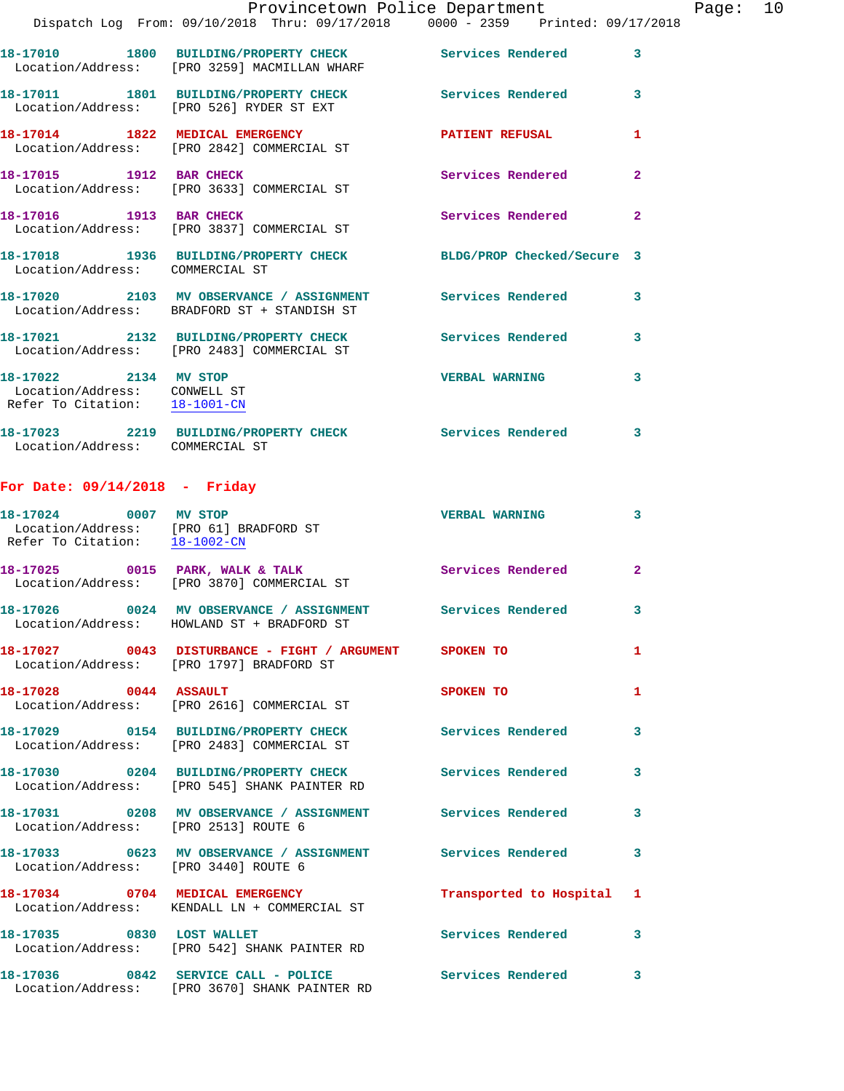|                                                               |                                                                                                           | Provincetown Police Department |                         | Page: 10 |  |
|---------------------------------------------------------------|-----------------------------------------------------------------------------------------------------------|--------------------------------|-------------------------|----------|--|
|                                                               | Dispatch Log From: 09/10/2018 Thru: 09/17/2018 0000 - 2359 Printed: 09/17/2018                            |                                |                         |          |  |
|                                                               | 18-17010 1800 BUILDING/PROPERTY CHECK Services Rendered 3<br>Location/Address: [PRO 3259] MACMILLAN WHARF |                                |                         |          |  |
|                                                               | 18-17011 1801 BUILDING/PROPERTY CHECK Services Rendered<br>Location/Address: [PRO 526] RYDER ST EXT       |                                | $\overline{\mathbf{3}}$ |          |  |
|                                                               | 18-17014 1822 MEDICAL EMERGENCY PATIENT REFUSAL<br>Location/Address: [PRO 2842] COMMERCIAL ST             |                                | 1                       |          |  |
|                                                               | 18-17015 1912 BAR CHECK<br>Location/Address: [PRO 3633] COMMERCIAL ST                                     | Services Rendered              | $\overline{2}$          |          |  |
|                                                               | 18-17016 1913 BAR CHECK<br>Location/Address: [PRO 3837] COMMERCIAL ST                                     | Services Rendered              | $\overline{2}$          |          |  |
| Location/Address: COMMERCIAL ST                               | 18-17018 1936 BUILDING/PROPERTY CHECK BLDG/PROP Checked/Secure 3                                          |                                |                         |          |  |
|                                                               | 18-17020 2103 MV OBSERVANCE / ASSIGNMENT Services Rendered<br>Location/Address: BRADFORD ST + STANDISH ST |                                | 3                       |          |  |
|                                                               | 18-17021 2132 BUILDING/PROPERTY CHECK Services Rendered<br>Location/Address: [PRO 2483] COMMERCIAL ST     |                                | 3                       |          |  |
| Location/Address: CONWELL ST<br>Refer To Citation: 18-1001-CN | 18-17022 2134 MV STOP                                                                                     | <b>VERBAL WARNING</b>          | 3                       |          |  |

**18-17023 2219 BUILDING/PROPERTY CHECK Services Rendered 3**  Location/Address: COMMERCIAL ST

## **For Date: 09/14/2018 - Friday**

| 18-17024 0007 MV STOP<br>Location/Address: [PRO 61] BRADFORD ST<br>Refer To Citation: 18-1002-CN |                                                                                                          | <b>VERBAL WARNING</b>     | $\mathbf{3}$            |
|--------------------------------------------------------------------------------------------------|----------------------------------------------------------------------------------------------------------|---------------------------|-------------------------|
|                                                                                                  | 18-17025 0015 PARK, WALK & TALK<br>Location/Address: [PRO 3870] COMMERCIAL ST                            | <b>Services Rendered</b>  | $\overline{2}$          |
|                                                                                                  | Location/Address: HOWLAND ST + BRADFORD ST                                                               |                           | $\overline{\mathbf{3}}$ |
|                                                                                                  | 18-17027 0043 DISTURBANCE - FIGHT / ARGUMENT SPOKEN TO<br>Location/Address: [PRO 1797] BRADFORD ST       |                           | $\mathbf{1}$            |
| 18-17028 0044 ASSAULT                                                                            | Location/Address: [PRO 2616] COMMERCIAL ST                                                               | SPOKEN TO                 | $\mathbf{1}$            |
|                                                                                                  | 18-17029 0154 BUILDING/PROPERTY CHECK<br>Location/Address: [PRO 2483] COMMERCIAL ST                      | <b>Services Rendered</b>  | 3                       |
|                                                                                                  | 18-17030 0204 BUILDING/PROPERTY CHECK<br>Location/Address: [PRO 545] SHANK PAINTER RD                    | <b>Services Rendered</b>  | $\mathbf{3}$            |
| Location/Address: [PRO 2513] ROUTE 6                                                             | 18-17031 0208 MV OBSERVANCE / ASSIGNMENT Services Rendered                                               |                           | $\mathbf{3}$            |
| Location/Address: [PRO 3440] ROUTE 6                                                             |                                                                                                          |                           | $\overline{\mathbf{3}}$ |
| 18-17034 0704 MEDICAL EMERGENCY                                                                  | Location/Address: KENDALL LN + COMMERCIAL ST                                                             | Transported to Hospital 1 |                         |
| 18-17035 0830 LOST WALLET                                                                        | Location/Address: [PRO 542] SHANK PAINTER RD                                                             | <b>Services Rendered</b>  | $\mathbf{3}$            |
|                                                                                                  | 18-17036 0842 SERVICE CALL - POLICE Services Rendered 3<br>Location/Address: [PRO 3670] SHANK PAINTER RD |                           |                         |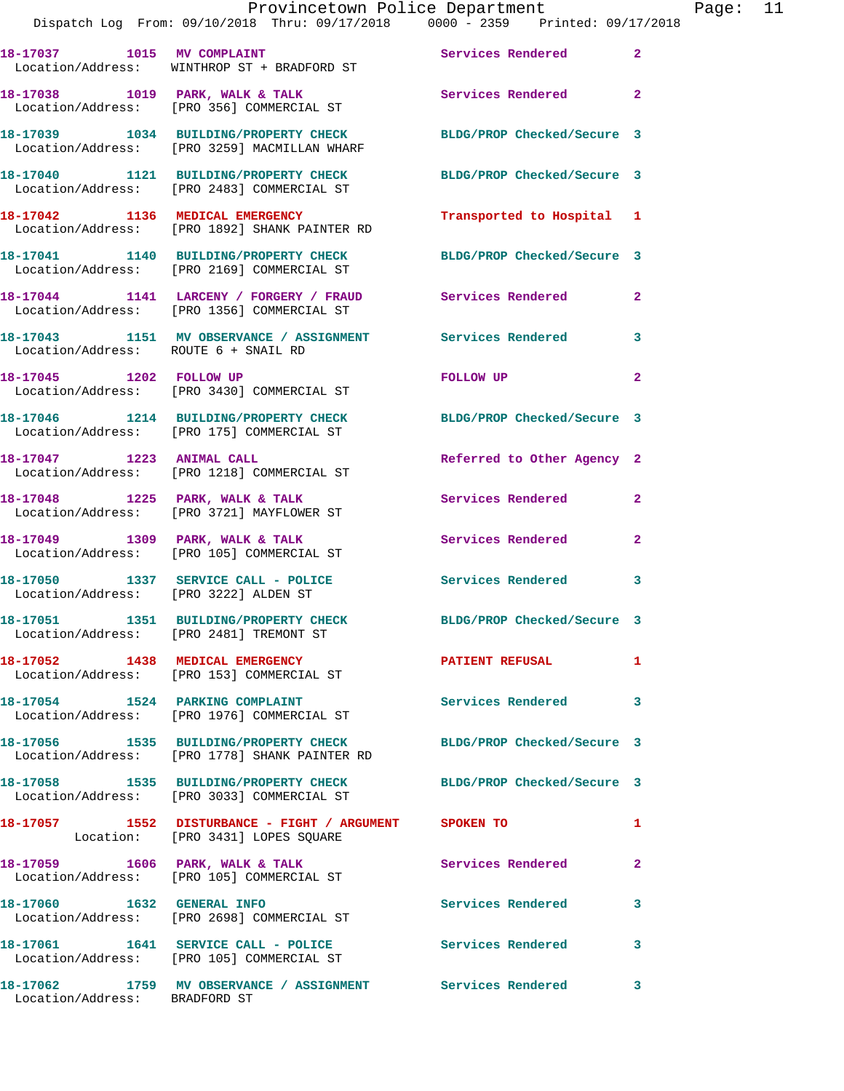|                                      | Provincetown Police Department<br>Dispatch Log From: 09/10/2018 Thru: 09/17/2018 0000 - 2359 Printed: 09/17/2018  |                            |              | Page: 11 |  |
|--------------------------------------|-------------------------------------------------------------------------------------------------------------------|----------------------------|--------------|----------|--|
|                                      | 18-17037 1015 MV COMPLAINT<br>Location/Address: WINTHROP ST + BRADFORD ST                                         | Services Rendered 2        |              |          |  |
|                                      | 18-17038 1019 PARK, WALK & TALK 1988 Services Rendered 2<br>Location/Address: [PRO 356] COMMERCIAL ST             |                            |              |          |  |
|                                      | 18-17039 1034 BUILDING/PROPERTY CHECK BLDG/PROP Checked/Secure 3<br>Location/Address: [PRO 3259] MACMILLAN WHARF  |                            |              |          |  |
|                                      | 18-17040 1121 BUILDING/PROPERTY CHECK BLDG/PROP Checked/Secure 3<br>Location/Address: [PRO 2483] COMMERCIAL ST    |                            |              |          |  |
|                                      | 18-17042 1136 MEDICAL EMERGENCY<br>Location/Address: [PRO 1892] SHANK PAINTER RD                                  | Transported to Hospital 1  |              |          |  |
|                                      | 18-17041 1140 BUILDING/PROPERTY CHECK BLDG/PROP Checked/Secure 3<br>Location/Address: [PRO 2169] COMMERCIAL ST    |                            |              |          |  |
|                                      | 18-17044 1141 LARCENY / FORGERY / FRAUD Services Rendered 2<br>Location/Address: [PRO 1356] COMMERCIAL ST         |                            |              |          |  |
| Location/Address: ROUTE 6 + SNAIL RD | 18-17043 1151 MV OBSERVANCE / ASSIGNMENT Services Rendered 3                                                      |                            |              |          |  |
|                                      | 18-17045    1202    FOLLOW UP<br>Location/Address: [PRO 3430] COMMERCIAL ST                                       | FOLLOW UP<br>$\sim$ 2      |              |          |  |
|                                      | 18-17046 1214 BUILDING/PROPERTY CHECK BLDG/PROP Checked/Secure 3<br>Location/Address: [PRO 175] COMMERCIAL ST     |                            |              |          |  |
| 18-17047 1223 ANIMAL CALL            | Location/Address: [PRO 1218] COMMERCIAL ST                                                                        | Referred to Other Agency 2 |              |          |  |
|                                      | 18-17048 1225 PARK, WALK & TALK 1988 Services Rendered<br>Location/Address: [PRO 3721] MAYFLOWER ST               |                            | $\mathbf{2}$ |          |  |
|                                      | 18-17049 1309 PARK, WALK & TALK Services Rendered<br>Location/Address: [PRO 105] COMMERCIAL ST                    |                            | $\mathbf{2}$ |          |  |
|                                      | 18-17050 1337 SERVICE CALL - POLICE Services Rendered 3<br>Location/Address: [PRO 3222] ALDEN ST                  |                            |              |          |  |
|                                      | 18-17051 1351 BUILDING/PROPERTY CHECK<br>Location/Address: [PRO 2481] TREMONT ST                                  | BLDG/PROP Checked/Secure 3 |              |          |  |
|                                      | 18-17052 1438 MEDICAL EMERGENCY<br>Location/Address: [PRO 153] COMMERCIAL ST                                      | <b>PATIENT REFUSAL</b>     | 1            |          |  |
|                                      | 18-17054 1524 PARKING COMPLAINT<br>Location/Address: [PRO 1976] COMMERCIAL ST                                     | Services Rendered 3        |              |          |  |
|                                      | 18-17056 1535 BUILDING/PROPERTY CHECK BLDG/PROP Checked/Secure 3<br>Location/Address: [PRO 1778] SHANK PAINTER RD |                            |              |          |  |
|                                      | 18-17058 1535 BUILDING/PROPERTY CHECK BLDG/PROP Checked/Secure 3<br>Location/Address: [PRO 3033] COMMERCIAL ST    |                            |              |          |  |
|                                      | 18-17057 1552 DISTURBANCE - FIGHT / ARGUMENT SPOKEN TO<br>Location: [PRO 3431] LOPES SQUARE                       |                            | 1            |          |  |
|                                      | 18-17059 1606 PARK, WALK & TALK<br>Location/Address: [PRO 105] COMMERCIAL ST                                      | Services Rendered          | $\mathbf{2}$ |          |  |
|                                      | 18-17060 1632 GENERAL INFO<br>Location/Address: [PRO 2698] COMMERCIAL ST                                          | Services Rendered          | 3            |          |  |
|                                      | 18-17061 1641 SERVICE CALL - POLICE 30 Services Rendered<br>Location/Address: [PRO 105] COMMERCIAL ST             |                            | 3            |          |  |
|                                      | 18-17062 1759 MV OBSERVANCE / ASSIGNMENT Services Rendered 3                                                      |                            |              |          |  |

Location/Address: BRADFORD ST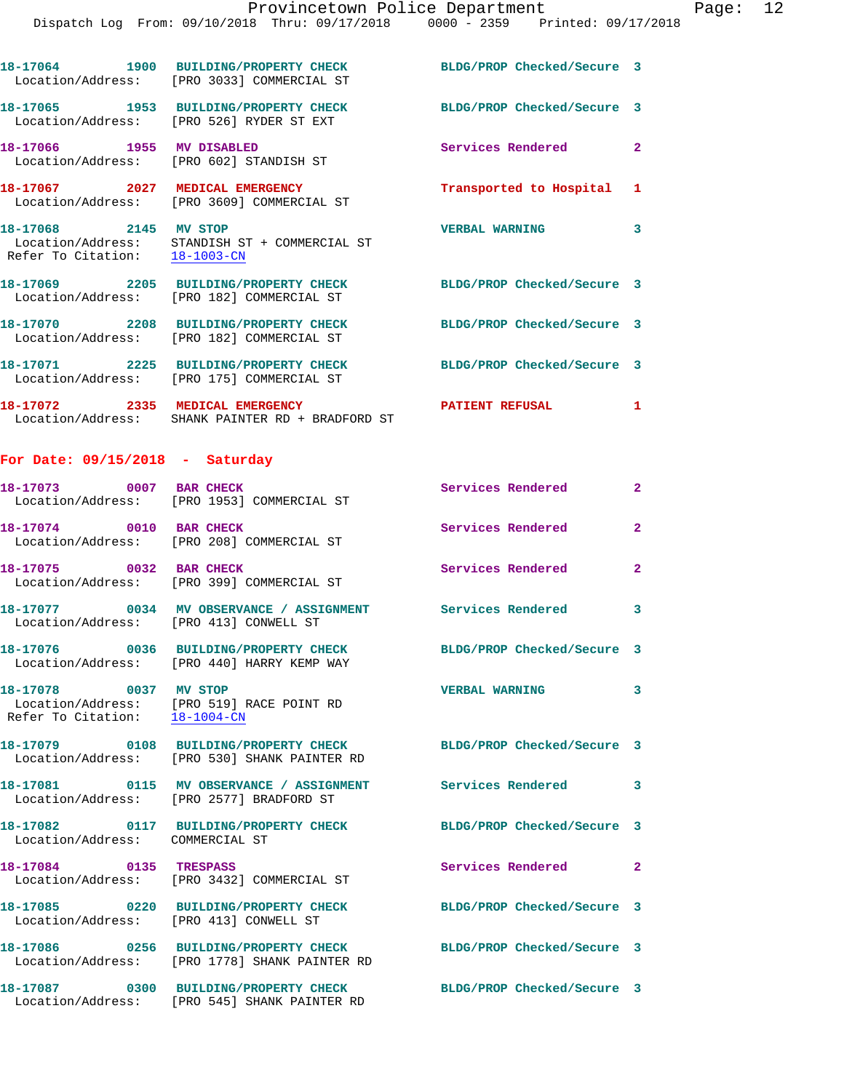|                                                        | 18-17064 1900 BUILDING/PROPERTY CHECK<br>Location/Address: [PRO 3033] COMMERCIAL ST | BLDG/PROP Checked/Secure 3 |                         |
|--------------------------------------------------------|-------------------------------------------------------------------------------------|----------------------------|-------------------------|
|                                                        | 18-17065 1953 BUILDING/PROPERTY CHECK<br>Location/Address: [PRO 526] RYDER ST EXT   | BLDG/PROP Checked/Secure 3 |                         |
| 18-17066 1955 MV DISABLED                              | Location/Address: [PRO 602] STANDISH ST                                             | Services Rendered          | $\overline{2}$          |
|                                                        | 18-17067  2027 MEDICAL EMERGENCY<br>Location/Address: [PRO 3609] COMMERCIAL ST      | Transported to Hospital 1  |                         |
| 18-17068 2145 MV STOP<br>Refer To Citation: 18-1003-CN | Location/Address: STANDISH ST + COMMERCIAL ST                                       | <b>VERBAL WARNING</b>      | $\overline{\mathbf{3}}$ |
|                                                        | 18-17069  2205 BUILDING/PROPERTY CHECK<br>Location/Address: [PRO 182] COMMERCIAL ST | BLDG/PROP Checked/Secure 3 |                         |
|                                                        | 18-17070 2208 BUILDING/PROPERTY CHECK<br>Location/Address: [PRO 182] COMMERCIAL ST  | BLDG/PROP Checked/Secure 3 |                         |
|                                                        | 18-17071 2225 BUILDING/PROPERTY CHECK<br>Location/Address: [PRO 175] COMMERCIAL ST  | BLDG/PROP Checked/Secure 3 |                         |
|                                                        | 18-17072 2335 MEDICAL EMERGENCY<br>Location/Address: SHANK PAINTER RD + BRADFORD ST | <b>PATIENT REFUSAL</b>     | $\mathbf{1}$            |
| For Date: $09/15/2018$ - Saturday                      |                                                                                     |                            |                         |
| 18-17073 0007 BAR CHECK                                |                                                                                     | <b>Services Rendered</b>   | $\overline{2}$          |

|                                                        | Location/Address: [PRO 1953] COMMERCIAL ST                            |                            |                |
|--------------------------------------------------------|-----------------------------------------------------------------------|----------------------------|----------------|
| 18-17074 0010 BAR CHECK                                | Location/Address: [PRO 208] COMMERCIAL ST                             | Services Rendered          | $\overline{2}$ |
| 18-17075 0032 BAR CHECK<br>Location/Address:           | [PRO 399] COMMERCIAL ST                                               | Services Rendered          | $\overline{2}$ |
| Location/Address:                                      | 18-17077 0034 MV OBSERVANCE / ASSIGNMENT<br>[PRO 413] CONWELL ST      | <b>Services Rendered</b>   | 3              |
|                                                        | Location/Address: [PRO 440] HARRY KEMP WAY                            | BLDG/PROP Checked/Secure 3 |                |
| 18-17078 0037 MV STOP<br>Refer To Citation: 18-1004-CN | Location/Address: [PRO 519] RACE POINT RD                             | <b>VERBAL WARNING</b>      | 3              |
| Location/Address:                                      | [PRO 530] SHANK PAINTER RD                                            | BLDG/PROP Checked/Secure 3 |                |
| Location/Address:                                      | 18-17081 0115 MV OBSERVANCE / ASSIGNMENT<br>[PRO 2577] BRADFORD ST    | Services Rendered          | 3              |
| Location/Address: COMMERCIAL ST                        | 18-17082 0117 BUILDING/PROPERTY CHECK                                 | BLDG/PROP Checked/Secure 3 |                |
| 18-17084 0135 TRESPASS<br>Location/Address:            | [PRO 3432] COMMERCIAL ST                                              | <b>Services Rendered</b>   | $\mathbf{2}$   |
| Location/Address:                                      | 18-17085 0220 BUILDING/PROPERTY CHECK<br>[PRO 413] CONWELL ST         | BLDG/PROP Checked/Secure 3 |                |
| Location/Address:                                      | 18-17086  0256 BUILDING/PROPERTY CHECK<br>[PRO 1778] SHANK PAINTER RD | BLDG/PROP Checked/Secure 3 |                |
| Location/Address:                                      | 18-17087 0300 BUILDING/PROPERTY CHECK<br>[PRO 545] SHANK PAINTER RD   | BLDG/PROP Checked/Secure 3 |                |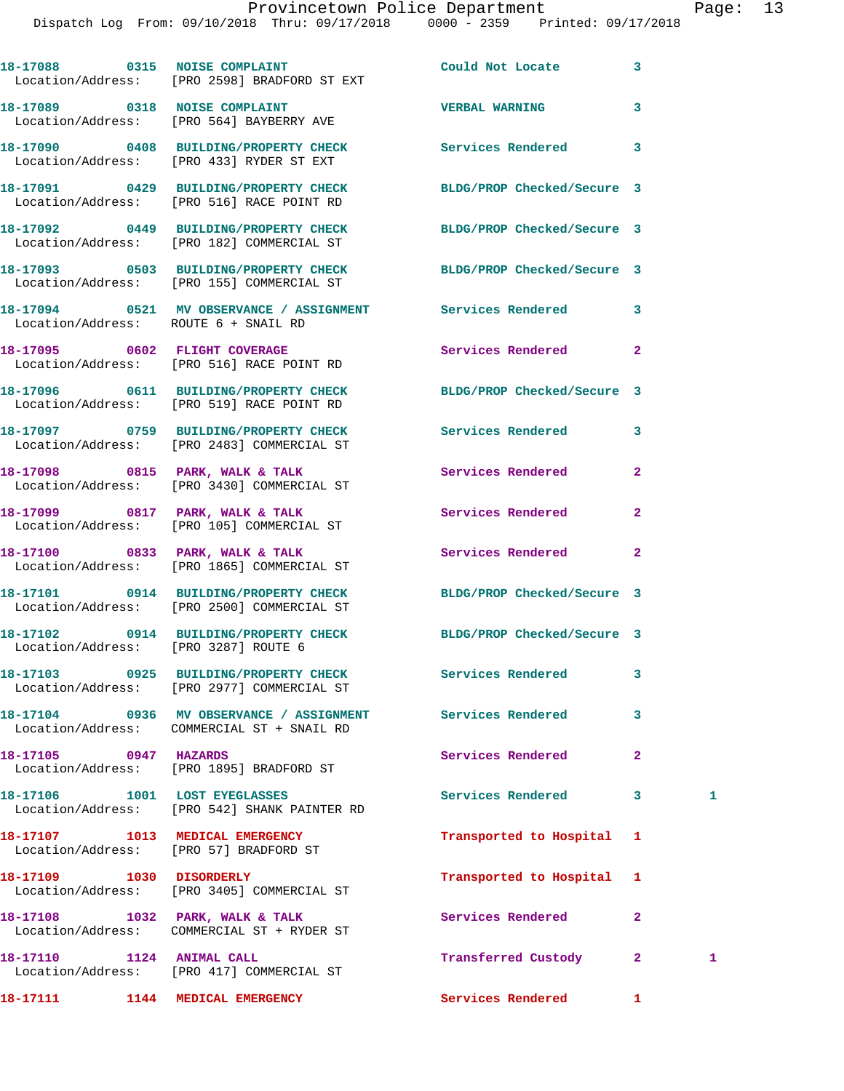|                                                                           | 18-17088 0315 NOISE COMPLAINT<br>Location/Address: [PRO 2598] BRADFORD ST EXT          | Could Not Locate           | 3            |   |
|---------------------------------------------------------------------------|----------------------------------------------------------------------------------------|----------------------------|--------------|---|
|                                                                           | 18-17089 0318 NOISE COMPLAINT<br>Location/Address: [PRO 564] BAYBERRY AVE              | <b>VERBAL WARNING</b>      | 3            |   |
|                                                                           | 18-17090 0408 BUILDING/PROPERTY CHECK<br>Location/Address: [PRO 433] RYDER ST EXT      | <b>Services Rendered</b>   | 3            |   |
|                                                                           | 18-17091 0429 BUILDING/PROPERTY CHECK<br>Location/Address: [PRO 516] RACE POINT RD     | BLDG/PROP Checked/Secure 3 |              |   |
|                                                                           | 18-17092 0449 BUILDING/PROPERTY CHECK<br>Location/Address: [PRO 182] COMMERCIAL ST     | BLDG/PROP Checked/Secure 3 |              |   |
|                                                                           | 18-17093 0503 BUILDING/PROPERTY CHECK<br>Location/Address: [PRO 155] COMMERCIAL ST     | BLDG/PROP Checked/Secure 3 |              |   |
| Location/Address: ROUTE 6 + SNAIL RD                                      | 18-17094 0521 MV OBSERVANCE / ASSIGNMENT Services Rendered                             |                            | 3            |   |
|                                                                           | 18-17095 0602 FLIGHT COVERAGE<br>Location/Address: [PRO 516] RACE POINT RD             | Services Rendered          | $\mathbf{2}$ |   |
|                                                                           | 18-17096 0611 BUILDING/PROPERTY CHECK<br>Location/Address: [PRO 519] RACE POINT RD     | BLDG/PROP Checked/Secure 3 |              |   |
|                                                                           | 18-17097 0759 BUILDING/PROPERTY CHECK<br>Location/Address: [PRO 2483] COMMERCIAL ST    | Services Rendered          | 3            |   |
|                                                                           | 18-17098 0815 PARK, WALK & TALK<br>Location/Address: [PRO 3430] COMMERCIAL ST          | Services Rendered          | $\mathbf{2}$ |   |
|                                                                           | 18-17099 0817 PARK, WALK & TALK<br>Location/Address: [PRO 105] COMMERCIAL ST           | Services Rendered          | $\mathbf{2}$ |   |
|                                                                           | 18-17100 0833 PARK, WALK & TALK<br>Location/Address: [PRO 1865] COMMERCIAL ST          | <b>Services Rendered</b>   | $\mathbf{2}$ |   |
|                                                                           | 18-17101 0914 BUILDING/PROPERTY CHECK<br>Location/Address: [PRO 2500] COMMERCIAL ST    | BLDG/PROP Checked/Secure 3 |              |   |
| Location/Address: [PRO 3287] ROUTE 6                                      | 18-17102 0914 BUILDING/PROPERTY CHECK                                                  | BLDG/PROP Checked/Secure 3 |              |   |
|                                                                           | 18-17103 0925 BUILDING/PROPERTY CHECK<br>Location/Address: [PRO 2977] COMMERCIAL ST    | <b>Services Rendered</b>   | 3            |   |
|                                                                           | 18-17104 0936 MV OBSERVANCE / ASSIGNMENT<br>Location/Address: COMMERCIAL ST + SNAIL RD | Services Rendered          | 3            |   |
| 18-17105 0947 HAZARDS                                                     | Location/Address: [PRO 1895] BRADFORD ST                                               | Services Rendered          | $\mathbf{2}$ |   |
| 18-17106 1001 LOST EYEGLASSES                                             | Location/Address: [PRO 542] SHANK PAINTER RD                                           | <b>Services Rendered</b>   | 3            | 1 |
| 18-17107 1013 MEDICAL EMERGENCY<br>Location/Address: [PRO 57] BRADFORD ST |                                                                                        | Transported to Hospital    | 1            |   |
|                                                                           | Location/Address: [PRO 3405] COMMERCIAL ST                                             | Transported to Hospital    | 1            |   |
|                                                                           | 18-17108 1032 PARK, WALK & TALK<br>Location/Address: COMMERCIAL ST + RYDER ST          | Services Rendered          | $\mathbf{2}$ |   |
| 18-17110 1124 ANIMAL CALL                                                 | Location/Address: [PRO 417] COMMERCIAL ST                                              | Transferred Custody        | $\mathbf{2}$ | 1 |

**18-17111 1144 MEDICAL EMERGENCY Services Rendered 1**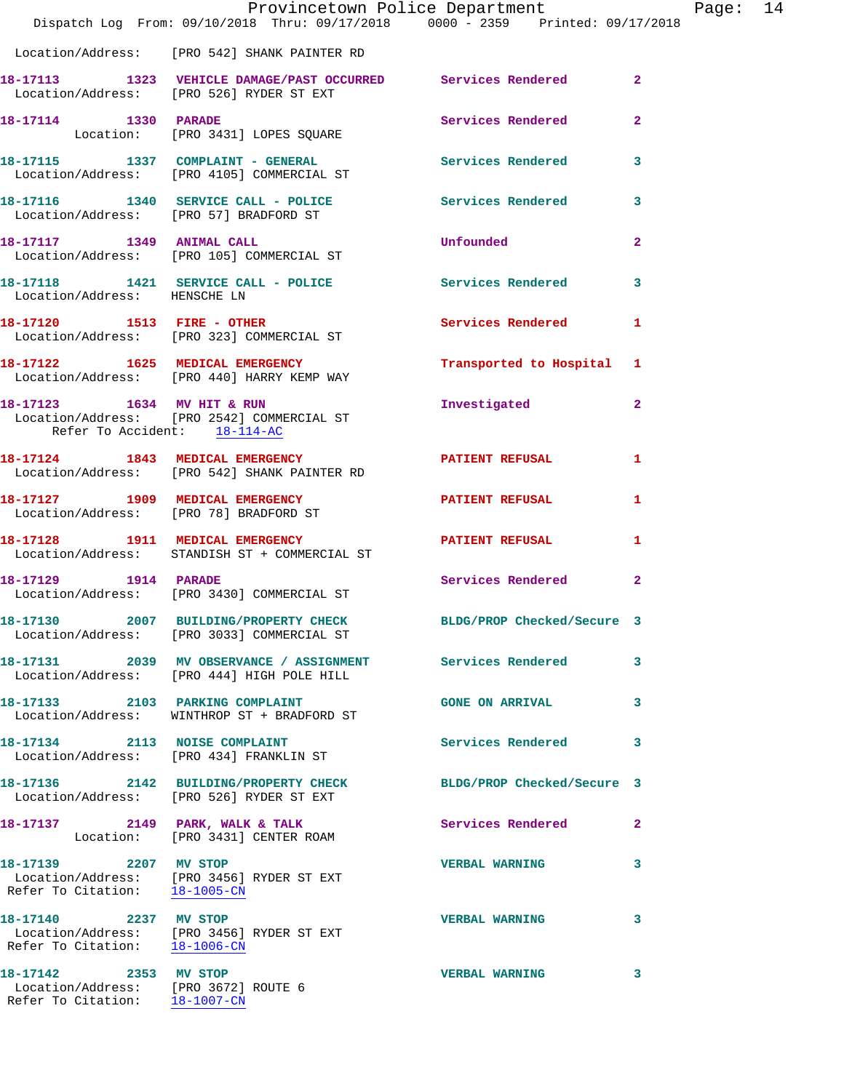|                                                               | Dispatch Log From: 09/10/2018 Thru: 09/17/2018 0000 - 2359 Printed: 09/17/2018                           | Provincetown Police Department Page: 14                                                                                                                                                                                            |                |  |
|---------------------------------------------------------------|----------------------------------------------------------------------------------------------------------|------------------------------------------------------------------------------------------------------------------------------------------------------------------------------------------------------------------------------------|----------------|--|
|                                                               | Location/Address: [PRO 542] SHANK PAINTER RD                                                             |                                                                                                                                                                                                                                    |                |  |
|                                                               | 18-17113 1323 VEHICLE DAMAGE/PAST OCCURRED Services Rendered<br>Location/Address: [PRO 526] RYDER ST EXT |                                                                                                                                                                                                                                    | $\overline{2}$ |  |
| 18-17114 1330 PARADE                                          | Location: [PRO 3431] LOPES SQUARE                                                                        | Services Rendered                                                                                                                                                                                                                  | $\overline{2}$ |  |
|                                                               | 18-17115 1337 COMPLAINT - GENERAL Services Rendered 3<br>Location/Address: [PRO 4105] COMMERCIAL ST      |                                                                                                                                                                                                                                    |                |  |
|                                                               | 18-17116 1340 SERVICE CALL - POLICE Services Rendered<br>Location/Address: [PRO 57] BRADFORD ST          |                                                                                                                                                                                                                                    | 3              |  |
|                                                               | 18-17117 1349 ANIMAL CALL<br>Location/Address: [PRO 105] COMMERCIAL ST                                   | <b>Unfounded Contract Contract Contract Contract Contract Contract Contract Contract Contract Contract Contract Contract Contract Contract Contract Contract Contract Contract Contract Contract Contract Contract Contract Co</b> | $\overline{2}$ |  |
| Location/Address: HENSCHE LN                                  | 18-17118 1421 SERVICE CALL - POLICE Services Rendered                                                    |                                                                                                                                                                                                                                    | 3              |  |
|                                                               | 18-17120 1513 FIRE - OTHER Services Rendered<br>Location/Address: [PRO 323] COMMERCIAL ST                |                                                                                                                                                                                                                                    | $\mathbf{1}$   |  |
|                                                               | 18-17122 1625 MEDICAL EMERGENCY<br>Location/Address: [PRO 440] HARRY KEMP WAY                            | Transported to Hospital 1                                                                                                                                                                                                          |                |  |
| Refer To Accident: 18-114-AC                                  | 18-17123 1634 MV HIT & RUN<br>Location/Address: [PRO 2542] COMMERCIAL ST                                 | Investigated                                                                                                                                                                                                                       | $\mathbf{2}$   |  |
|                                                               | 18-17124 1843 MEDICAL EMERGENCY PATIENT REFUSAL<br>Location/Address: [PRO 542] SHANK PAINTER RD          |                                                                                                                                                                                                                                    | 1              |  |
| Location/Address: [PRO 78] BRADFORD ST                        | 18-17127 1909 MEDICAL EMERGENCY PATIENT REFUSAL                                                          |                                                                                                                                                                                                                                    | 1              |  |
|                                                               | 18-17128 1911 MEDICAL EMERGENCY PATIENT REFUSAL<br>Location/Address: STANDISH ST + COMMERCIAL ST         |                                                                                                                                                                                                                                    | 1              |  |
|                                                               | 18-17129 1914 PARADE<br>Location/Address: [PRO 3430] COMMERCIAL ST                                       | Services Rendered                                                                                                                                                                                                                  | $\mathbf{2}$   |  |
|                                                               | 18-17130 2007 BUILDING/PROPERTY CHECK<br>Location/Address: [PRO 3033] COMMERCIAL ST                      | BLDG/PROP Checked/Secure 3                                                                                                                                                                                                         |                |  |
|                                                               | 18-17131 2039 MV OBSERVANCE / ASSIGNMENT Services Rendered<br>Location/Address: [PRO 444] HIGH POLE HILL |                                                                                                                                                                                                                                    | 3              |  |
|                                                               | 18-17133 2103 PARKING COMPLAINT<br>Location/Address: WINTHROP ST + BRADFORD ST                           | <b>GONE ON ARRIVAL</b>                                                                                                                                                                                                             | 3              |  |
|                                                               | 18-17134 2113 NOISE COMPLAINT<br>Location/Address: [PRO 434] FRANKLIN ST                                 | Services Rendered                                                                                                                                                                                                                  | 3              |  |
|                                                               | 18-17136 2142 BUILDING/PROPERTY CHECK<br>Location/Address: [PRO 526] RYDER ST EXT                        | BLDG/PROP Checked/Secure 3                                                                                                                                                                                                         |                |  |
|                                                               | 18-17137 2149 PARK, WALK & TALK<br>Location: [PRO 3431] CENTER ROAM                                      | Services Rendered                                                                                                                                                                                                                  | $\mathbf{2}$   |  |
| 18-17139 2207 MV STOP<br>Refer To Citation: 18-1005-CN        | Location/Address: [PRO 3456] RYDER ST EXT                                                                | <b>VERBAL WARNING</b>                                                                                                                                                                                                              | 3              |  |
|                                                               | 18-17140 2237 MV STOP<br>Location/Address: [PRO 3456] RYDER ST EXT<br>Refer To Citation: 18-1006-CN      | <b>VERBAL WARNING</b>                                                                                                                                                                                                              | 3              |  |
| 18-17142 2353 MV STOP<br>Location/Address: [PRO 3672] ROUTE 6 |                                                                                                          | <b>VERBAL WARNING</b>                                                                                                                                                                                                              | 3              |  |

Refer To Citation: 18-1007-CN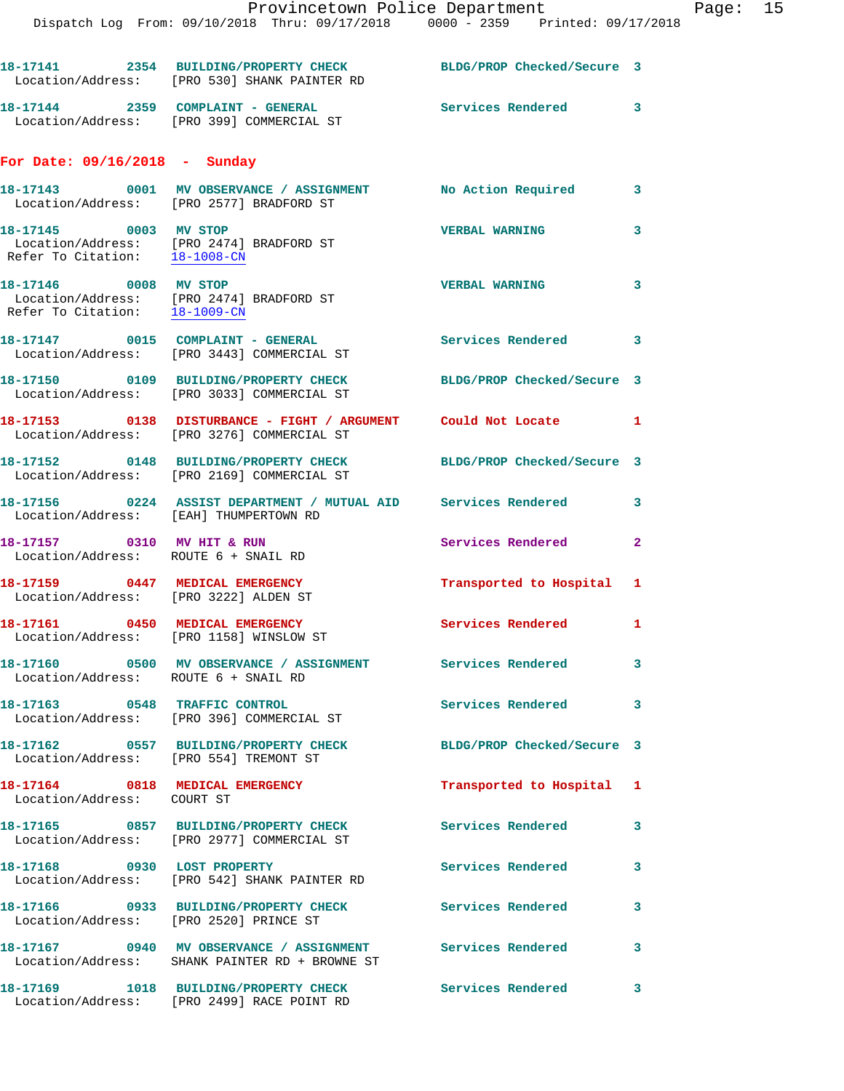|                                                                          | 18-17141 2354 BUILDING/PROPERTY CHECK<br>Location/Address: [PRO 530] SHANK PAINTER RD                          | BLDG/PROP Checked/Secure 3 |              |
|--------------------------------------------------------------------------|----------------------------------------------------------------------------------------------------------------|----------------------------|--------------|
|                                                                          | 18-17144 2359 COMPLAINT - GENERAL<br>Location/Address: [PRO 399] COMMERCIAL ST                                 | Services Rendered 3        |              |
| For Date: $09/16/2018$ - Sunday                                          |                                                                                                                |                            |              |
|                                                                          | 18-17143 0001 MV OBSERVANCE / ASSIGNMENT No Action Required 3<br>Location/Address: [PRO 2577] BRADFORD ST      |                            |              |
| 18-17145 0003 MV STOP                                                    | Location/Address: [PRO 2474] BRADFORD ST<br>Refer To Citation: 18-1008-CN                                      | <b>VERBAL WARNING</b>      | 3            |
| 18-17146 0008 MV STOP<br>Refer To Citation: 18-1009-CN                   | Location/Address: [PRO 2474] BRADFORD ST                                                                       | <b>VERBAL WARNING</b>      | $\mathbf{3}$ |
|                                                                          | 18-17147 0015 COMPLAINT - GENERAL<br>Location/Address: [PRO 3443] COMMERCIAL ST                                | Services Rendered 3        |              |
|                                                                          | 18-17150 0109 BUILDING/PROPERTY CHECK<br>Location/Address: [PRO 3033] COMMERCIAL ST                            | BLDG/PROP Checked/Secure 3 |              |
|                                                                          | 18-17153 0138 DISTURBANCE - FIGHT / ARGUMENT Could Not Locate 1<br>Location/Address: [PRO 3276] COMMERCIAL ST  |                            |              |
|                                                                          | 18-17152 0148 BUILDING/PROPERTY CHECK BLDG/PROP Checked/Secure 3<br>Location/Address: [PRO 2169] COMMERCIAL ST |                            |              |
| Location/Address: [EAH] THUMPERTOWN RD                                   | 18-17156 0224 ASSIST DEPARTMENT / MUTUAL AID Services Rendered                                                 |                            | $\mathbf{3}$ |
| 18-17157 0310 MV HIT & RUN<br>Location/Address: ROUTE 6 + SNAIL RD       |                                                                                                                | Services Rendered          | $\mathbf{2}$ |
| 18-17159 0447 MEDICAL EMERGENCY<br>Location/Address: [PRO 3222] ALDEN ST |                                                                                                                | Transported to Hospital 1  |              |
| Location/Address: [PRO 1158] WINSLOW ST                                  | 18-17161 0450 MEDICAL EMERGENCY                                                                                | Services Rendered 1        |              |
| Location/Address: ROUTE 6 + SNAIL RD                                     | 18-17160 0500 MV OBSERVANCE / ASSIGNMENT                                                                       | <b>Services Rendered</b>   |              |
|                                                                          | 18-17163 0548 TRAFFIC CONTROL<br>Location/Address: [PRO 396] COMMERCIAL ST                                     | Services Rendered          | $\sim$ 3     |
| Location/Address: [PRO 554] TREMONT ST                                   | 18-17162 0557 BUILDING/PROPERTY CHECK                                                                          | BLDG/PROP Checked/Secure 3 |              |
| 18-17164 0818 MEDICAL EMERGENCY<br>Location/Address: COURT ST            |                                                                                                                | Transported to Hospital 1  |              |
|                                                                          | 18-17165 0857 BUILDING/PROPERTY CHECK<br>Location/Address: [PRO 2977] COMMERCIAL ST                            | Services Rendered          | 3            |
|                                                                          | 18-17168 0930 LOST PROPERTY<br>Location/Address: [PRO 542] SHANK PAINTER RD                                    | Services Rendered          | 3            |
| Location/Address: [PRO 2520] PRINCE ST                                   | 18-17166 0933 BUILDING/PROPERTY CHECK                                                                          | Services Rendered          | 3            |
|                                                                          | 18-17167 0940 MV OBSERVANCE / ASSIGNMENT Services Rendered<br>Location/Address: SHANK PAINTER RD + BROWNE ST   |                            | 3            |
|                                                                          | 18-17169 1018 BUILDING/PROPERTY CHECK<br>Location/Address: [PRO 2499] RACE POINT RD                            | Services Rendered          | $\mathbf{3}$ |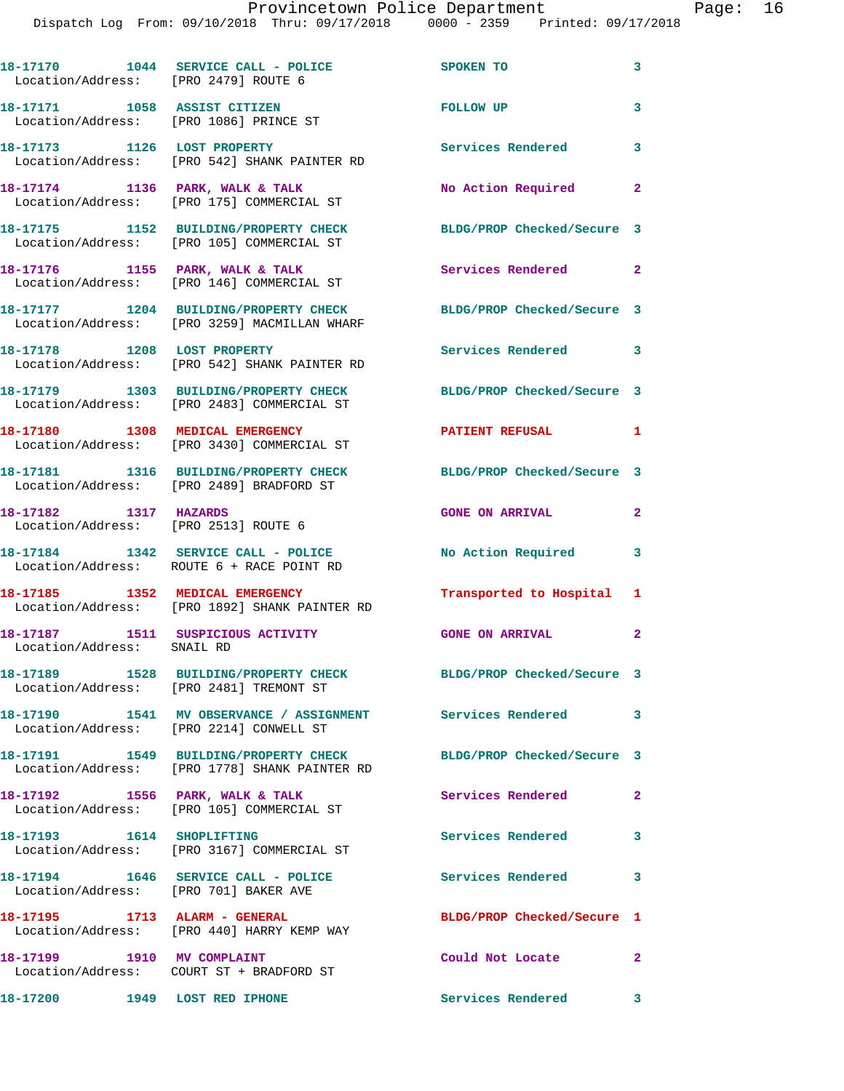| Location/Address: [PRO 2479] ROUTE 6                            | 18-17170    1044 SERVICE CALL - POLICE                                                                      | <b>SPOKEN TO</b>           | 3                          |
|-----------------------------------------------------------------|-------------------------------------------------------------------------------------------------------------|----------------------------|----------------------------|
| Location/Address: [PRO 1086] PRINCE ST                          | 18-17171 1058 ASSIST CITIZEN                                                                                | FOLLOW UP                  | 3                          |
| 18-17173 1126 LOST PROPERTY                                     | Location/Address: [PRO 542] SHANK PAINTER RD                                                                | Services Rendered 3        |                            |
|                                                                 | 18-17174 1136 PARK, WALK & TALK<br>Location/Address: [PRO 175] COMMERCIAL ST                                | No Action Required         | $\overline{\phantom{a}}$ 2 |
|                                                                 | 18-17175 1152 BUILDING/PROPERTY CHECK<br>Location/Address: [PRO 105] COMMERCIAL ST                          | BLDG/PROP Checked/Secure 3 |                            |
|                                                                 | 18-17176 1155 PARK, WALK & TALK<br>Location/Address: [PRO 146] COMMERCIAL ST                                | Services Rendered 2        |                            |
|                                                                 | 18-17177 1204 BUILDING/PROPERTY CHECK<br>Location/Address: [PRO 3259] MACMILLAN WHARF                       | BLDG/PROP Checked/Secure 3 |                            |
|                                                                 | 18-17178 1208 LOST PROPERTY<br>Location/Address: [PRO 542] SHANK PAINTER RD                                 | Services Rendered 3        |                            |
|                                                                 | 18-17179 1303 BUILDING/PROPERTY CHECK<br>Location/Address: [PRO 2483] COMMERCIAL ST                         | BLDG/PROP Checked/Secure 3 |                            |
|                                                                 | 18-17180 1308 MEDICAL EMERGENCY<br>Location/Address: [PRO 3430] COMMERCIAL ST                               | <b>PATIENT REFUSAL</b>     | 1                          |
|                                                                 | 18-17181 1316 BUILDING/PROPERTY CHECK<br>Location/Address: [PRO 2489] BRADFORD ST                           | BLDG/PROP Checked/Secure 3 |                            |
| 18-17182 1317 HAZARDS                                           | Location/Address: [PRO 2513] ROUTE 6                                                                        | <b>GONE ON ARRIVAL</b>     | $\mathbf{2}$               |
|                                                                 | 18-17184 1342 SERVICE CALL - POLICE<br>Location/Address: ROUTE 6 + RACE POINT RD                            | No Action Required         | $\sim$ 3                   |
|                                                                 | 18-17185 1352 MEDICAL EMERGENCY<br>Location/Address: [PRO 1892] SHANK PAINTER RD                            | Transported to Hospital 1  |                            |
| 18-17187 1511 SUSPICIOUS ACTIVITY<br>Location/Address: SNAIL RD |                                                                                                             | <b>GONE ON ARRIVAL</b>     | $\mathbf{2}$               |
|                                                                 | 18-17189 1528 BUILDING/PROPERTY CHECK BLDG/PROP Checked/Secure 3<br>Location/Address: [PRO 2481] TREMONT ST |                            |                            |
|                                                                 | 18-17190 1541 MV OBSERVANCE / ASSIGNMENT Services Rendered 3<br>Location/Address: [PRO 2214] CONWELL ST     |                            |                            |
|                                                                 | 18-17191 1549 BUILDING/PROPERTY CHECK<br>Location/Address: [PRO 1778] SHANK PAINTER RD                      | BLDG/PROP Checked/Secure 3 |                            |
| 18-17192 1556 PARK, WALK & TALK                                 | Location/Address: [PRO 105] COMMERCIAL ST                                                                   | Services Rendered          | $\overline{\mathbf{2}}$    |
| 18-17193 1614 SHOPLIFTING                                       | Location/Address: [PRO 3167] COMMERCIAL ST                                                                  | <b>Services Rendered</b>   | 3                          |
| Location/Address: [PRO 701] BAKER AVE                           | 18-17194 1646 SERVICE CALL - POLICE                                                                         | <b>Services Rendered</b>   | 3                          |
| 18-17195 1713 ALARM - GENERAL                                   | Location/Address: [PRO 440] HARRY KEMP WAY                                                                  | BLDG/PROP Checked/Secure 1 |                            |
| 18-17199 1910 MV COMPLAINT                                      | Location/Address: COURT ST + BRADFORD ST                                                                    | Could Not Locate           | $\sim$ 2                   |
| 18-17200 1949 LOST RED IPHONE                                   |                                                                                                             | Services Rendered 3        |                            |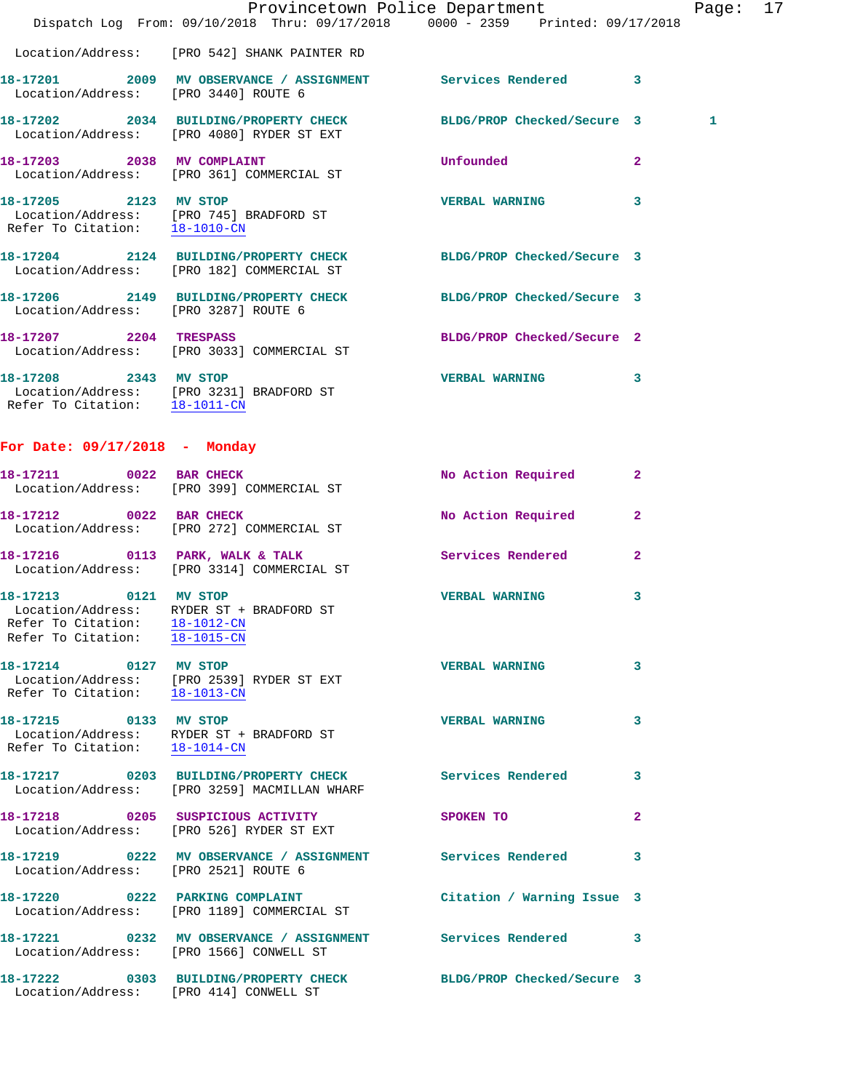|                                                                                         | Dispatch Log From: 09/10/2018 Thru: 09/17/2018 0000 - 2359 Printed: 09/17/2018                                       | Provincetown Police Department Page: 17 |                |   |  |
|-----------------------------------------------------------------------------------------|----------------------------------------------------------------------------------------------------------------------|-----------------------------------------|----------------|---|--|
|                                                                                         | Location/Address: [PRO 542] SHANK PAINTER RD                                                                         |                                         |                |   |  |
|                                                                                         |                                                                                                                      |                                         |                |   |  |
| Location/Address: [PRO 3440] ROUTE 6                                                    | 18-17201 2009 MV OBSERVANCE / ASSIGNMENT Services Rendered 3                                                         |                                         |                |   |  |
|                                                                                         | 18-17202 2034 BUILDING/PROPERTY CHECK BLDG/PROP Checked/Secure 3<br>Location/Address: [PRO 4080] RYDER ST EXT        |                                         |                | 1 |  |
|                                                                                         | 18-17203 2038 MV COMPLAINT<br>Location/Address: [PRO 361] COMMERCIAL ST                                              | Unfounded                               | $\overline{2}$ |   |  |
|                                                                                         | 18-17205 2123 MV STOP<br>Location/Address: [PRO 745] BRADFORD ST<br>Refer To Citation: $\frac{18-1010-CM}{\text{N}}$ | VERBAL WARNING 3                        |                |   |  |
|                                                                                         | 18-17204 2124 BUILDING/PROPERTY CHECK BLDG/PROP Checked/Secure 3<br>Location/Address: [PRO 182] COMMERCIAL ST        |                                         |                |   |  |
|                                                                                         | 18-17206 2149 BUILDING/PROPERTY CHECK BLDG/PROP Checked/Secure 3<br>Location/Address: [PRO 3287] ROUTE 6             |                                         |                |   |  |
| 18-17207 2204 TRESPASS                                                                  | Location/Address: [PRO 3033] COMMERCIAL ST                                                                           | BLDG/PROP Checked/Secure 2              |                |   |  |
| Refer To Citation: 18-1011-CN                                                           | 18-17208 2343 MV STOP<br>Location/Address: [PRO 3231] BRADFORD ST                                                    | VERBAL WARNING 3                        |                |   |  |
| For Date: 09/17/2018 - Monday                                                           |                                                                                                                      |                                         |                |   |  |
|                                                                                         | 18-17211 0022 BAR CHECK<br>Location/Address: [PRO 399] COMMERCIAL ST                                                 | <b>No Action Required</b>               | $\mathbf{2}$   |   |  |
|                                                                                         | 18-17212 0022 BAR CHECK<br>Location/Address: [PRO 272] COMMERCIAL ST                                                 | No Action Required                      | $\mathbf{2}$   |   |  |
|                                                                                         | 18-17216 0113 PARK, WALK & TALK Services Rendered<br>Location/Address: [PRO 3314] COMMERCIAL ST                      |                                         | $\overline{2}$ |   |  |
| 18-17213 0121 MV STOP<br>Refer To Citation: 18-1012-CN<br>Refer To Citation: 18-1015-CN | Location/Address: RYDER ST + BRADFORD ST                                                                             | <b>VERBAL WARNING</b>                   | 3              |   |  |
| 18-17214 0127 MV STOP<br>Refer To Citation: 18-1013-CN                                  | Location/Address: [PRO 2539] RYDER ST EXT                                                                            | <b>VERBAL WARNING</b>                   | 3              |   |  |
| 18-17215 0133 MV STOP                                                                   | Location/Address: RYDER ST + BRADFORD ST<br>Refer To Citation: $\frac{18-1014-CN}{\pi}$                              | <b>VERBAL WARNING</b>                   | 3              |   |  |
|                                                                                         | 18-17217 0203 BUILDING/PROPERTY CHECK<br>Location/Address: [PRO 3259] MACMILLAN WHARF                                | <b>Services Rendered</b>                | 3              |   |  |
|                                                                                         | Location/Address: [PRO 526] RYDER ST EXT                                                                             | SPOKEN TO                               | $\mathbf{2}$   |   |  |
| Location/Address: [PRO 2521] ROUTE 6                                                    | 18-17219 0222 MV OBSERVANCE / ASSIGNMENT Services Rendered                                                           |                                         | 3              |   |  |
|                                                                                         | 18-17220 0222 PARKING COMPLAINT<br>Location/Address: [PRO 1189] COMMERCIAL ST                                        | Citation / Warning Issue 3              |                |   |  |
|                                                                                         | 18-17221 0232 MV OBSERVANCE / ASSIGNMENT<br>Location/Address: [PRO 1566] CONWELL ST                                  | Services Rendered                       | 3              |   |  |
|                                                                                         | 18-17222 0303 BUILDING/PROPERTY CHECK<br>Location/Address: [PRO 414] CONWELL ST                                      | BLDG/PROP Checked/Secure 3              |                |   |  |